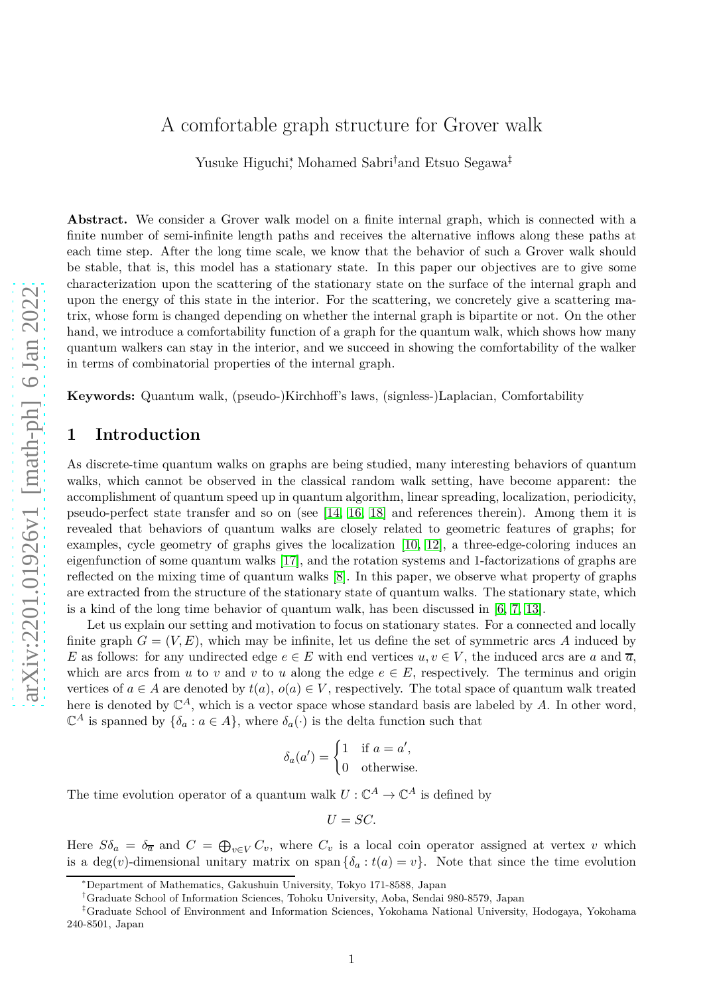# A comfortable graph structure for Grover walk

Yusuke Higuchi,<sup>∗</sup> Mohamed Sabri<sup>†</sup>and Etsuo Segawa<sup>‡</sup>

**Abstract.** We consider a Grover walk model on a finite internal graph, which is connected with a finite number of semi-infinite length paths and receives the alternative inflows along these paths at each time step. After the long time scale, we know that the behavior of such a Grover walk should be stable, that is, this model has a stationary state. In this paper our objectives are to give some characterization upon the scattering of the stationary state on the surface of the internal graph and upon the energy of this state in the interior. For the scattering, we concretely give a scattering matrix, whose form is changed depending on whether the internal graph is bipartite or not. On the other hand, we introduce a comfortability function of a graph for the quantum walk, which shows how many quantum walkers can stay in the interior, and we succeed in showing the comfortability of the walker in terms of combinatorial properties of the internal graph.

**Keywords:** Quantum walk, (pseudo-)Kirchhoff's laws, (signless-)Laplacian, Comfortability

## **1 Introduction**

As discrete-time quantum walks on graphs are being studied, many interesting behaviors of quantum walks, which cannot be observed in the classical random walk setting, have become apparent: the accomplishment of quantum speed up in quantum algorithm, linear spreading, localization, periodicity, pseudo-perfect state transfer and so on (see [\[14,](#page-20-0) [16,](#page-20-1) [18\]](#page-20-2) and references therein). Among them it is revealed that behaviors of quantum walks are closely related to geometric features of graphs; for examples, cycle geometry of graphs gives the localization [\[10,](#page-19-0) [12\]](#page-19-1), a three-edge-coloring induces an eigenfunction of some quantum walks [\[17\]](#page-20-3), and the rotation systems and 1-factorizations of graphs are reflected on the mixing time of quantum walks [\[8\]](#page-19-2). In this paper, we observe what property of graphs are extracted from the structure of the stationary state of quantum walks. The stationary state, which is a kind of the long time behavior of quantum walk, has been discussed in [\[6,](#page-19-3) [7,](#page-19-4) [13\]](#page-20-4).

Let us explain our setting and motivation to focus on stationary states. For a connected and locally finite graph  $G = (V, E)$ , which may be infinite, let us define the set of symmetric arcs A induced by *E* as follows: for any undirected edge  $e \in E$  with end vertices  $u, v \in V$ , the induced arcs are a and  $\overline{a}$ , which are arcs from  $u$  to  $v$  and  $v$  to  $u$  along the edge  $e \in E$ , respectively. The terminus and origin vertices of  $a \in A$  are denoted by  $t(a)$ ,  $o(a) \in V$ , respectively. The total space of quantum walk treated here is denoted by C *<sup>A</sup>*, which is a vector space whose standard basis are labeled by *A*. In other word,  $\mathbb{C}^A$  is spanned by  $\{\delta_a : a \in A\}$ , where  $\delta_a(\cdot)$  is the delta function such that

$$
\delta_a(a') = \begin{cases} 1 & \text{if } a = a', \\ 0 & \text{otherwise.} \end{cases}
$$

The time evolution operator of a quantum walk  $U: \mathbb{C}^A \to \mathbb{C}^A$  is defined by

$$
U=SC.
$$

Here  $S\delta_a = \delta_{\overline{a}}$  and  $C = \bigoplus_{v \in V} C_v$ , where  $C_v$  is a local coin operator assigned at vertex v which is a  $\deg(v)$ -dimensional unitary matrix on span  $\{\delta_a : t(a) = v\}$ . Note that since the time evolution

<sup>∗</sup>Department of Mathematics, Gakushuin University, Tokyo 171-8588, Japan

<sup>†</sup>Graduate School of Information Sciences, Tohoku University, Aoba, Sendai 980-8579, Japan

<sup>‡</sup>Graduate School of Environment and Information Sciences, Yokohama National University, Hodogaya, Yokohama 240-8501, Japan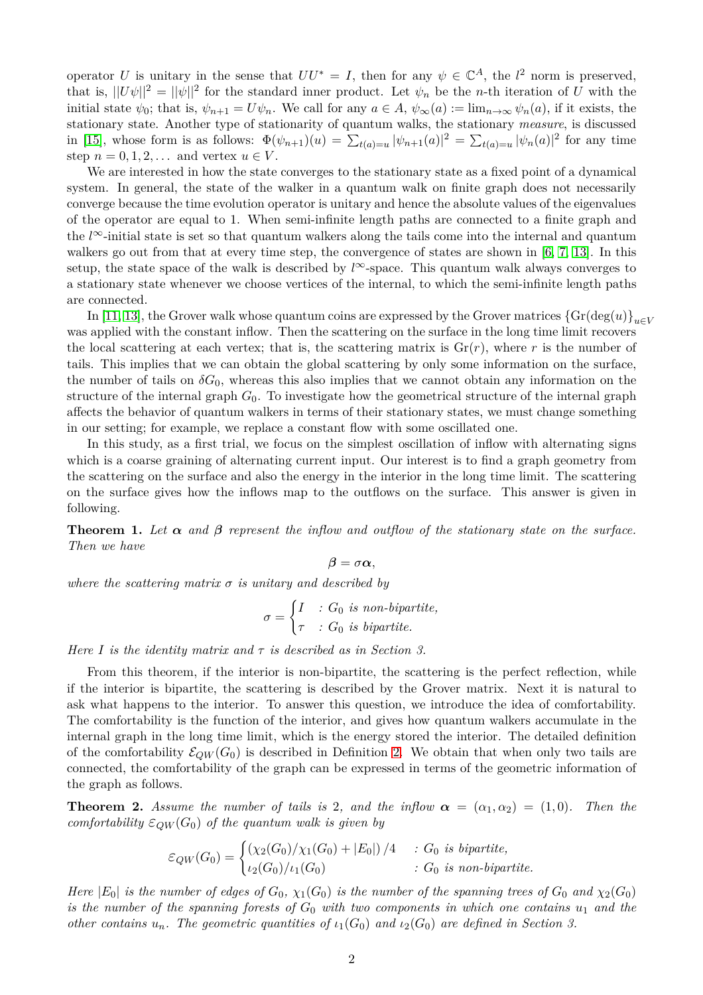operator *U* is unitary in the sense that  $UU^* = I$ , then for any  $\psi \in \mathbb{C}^A$ , the  $l^2$  norm is preserved, that is,  $||U\psi||^2 = ||\psi||^2$  for the standard inner product. Let  $\psi_n$  be the *n*-th iteration of *U* with the initial state  $\psi_0$ ; that is,  $\psi_{n+1} = U\psi_n$ . We call for any  $a \in A$ ,  $\psi_\infty(a) := \lim_{n \to \infty} \psi_n(a)$ , if it exists, the stationary state. Another type of stationarity of quantum walks, the stationary *measure*, is discussed in [\[15\]](#page-20-5), whose form is as follows:  $\Phi(\psi_{n+1})(u) = \sum_{t(a)=u} |\psi_{n+1}(a)|^2 = \sum_{t(a)=u} |\psi_n(a)|^2$  for any time step  $n = 0, 1, 2, \ldots$  and vertex  $u \in V$ .

We are interested in how the state converges to the stationary state as a fixed point of a dynamical system. In general, the state of the walker in a quantum walk on finite graph does not necessarily converge because the time evolution operator is unitary and hence the absolute values of the eigenvalues of the operator are equal to 1. When semi-infinite length paths are connected to a finite graph and the *l*∞-initial state is set so that quantum walkers along the tails come into the internal and quantum walkers go out from that at every time step, the convergence of states are shown in [\[6,](#page-19-3) [7,](#page-19-4) [13\]](#page-20-4). In this setup, the state space of the walk is described by  $l^{\infty}$ -space. This quantum walk always converges to a stationary state whenever we choose vertices of the internal, to which the semi-infinite length paths are connected.

In [\[11,](#page-19-5) [13\]](#page-20-4), the Grover walk whose quantum coins are expressed by the Grover matrices  $\{Gr(\deg(u)\}_{u\in V}$ was applied with the constant inflow. Then the scattering on the surface in the long time limit recovers the local scattering at each vertex; that is, the scattering matrix is  $Gr(r)$ , where r is the number of tails. This implies that we can obtain the global scattering by only some information on the surface, the number of tails on  $\delta G_0$ , whereas this also implies that we cannot obtain any information on the structure of the internal graph  $G_0$ . To investigate how the geometrical structure of the internal graph affects the behavior of quantum walkers in terms of their stationary states, we must change something in our setting; for example, we replace a constant flow with some oscillated one.

In this study, as a first trial, we focus on the simplest oscillation of inflow with alternating signs which is a coarse graining of alternating current input. Our interest is to find a graph geometry from the scattering on the surface and also the energy in the interior in the long time limit. The scattering on the surface gives how the inflows map to the outflows on the surface. This answer is given in following.

<span id="page-1-0"></span>**Theorem 1.** Let  $\alpha$  and  $\beta$  represent the inflow and outflow of the stationary state on the surface. *Then we have*

$$
\beta = \sigma \alpha,
$$

*where the scattering matrix*  $\sigma$  *is unitary and described by* 

$$
\sigma = \begin{cases} I & \text{: } G_0 \text{ is non-bipartite,} \\ \tau & \text{: } G_0 \text{ is bipartite.} \end{cases}
$$

*Here I is the identity matrix and τ is described as in Section 3.*

From this theorem, if the interior is non-bipartite, the scattering is the perfect reflection, while if the interior is bipartite, the scattering is described by the Grover matrix. Next it is natural to ask what happens to the interior. To answer this question, we introduce the idea of comfortability. The comfortability is the function of the interior, and gives how quantum walkers accumulate in the internal graph in the long time limit, which is the energy stored the interior. The detailed definition of the comfortability  $\mathcal{E}_{QW}(G_0)$  is described in Definition [2.](#page-3-0) We obtain that when only two tails are connected, the comfortability of the graph can be expressed in terms of the geometric information of the graph as follows.

<span id="page-1-1"></span>**Theorem 2.** *Assume the number of tails is* 2*, and the inflow*  $\alpha = (\alpha_1, \alpha_2) = (1, 0)$ *. Then the comfortability*  $\varepsilon_{OW}(G_0)$  *of the quantum walk is given by* 

$$
\varepsilon_{QW}(G_0) = \begin{cases} \left(\chi_2(G_0)/\chi_1(G_0) + |E_0|\right)/4 & : G_0 \text{ is bipartite,} \\ \iota_2(G_0)/\iota_1(G_0) & : G_0 \text{ is non-bipartite.} \end{cases}
$$

*Here*  $|E_0|$  *is the number of edges of*  $G_0$ ,  $\chi_1(G_0)$  *is the number of the spanning trees of*  $G_0$  *and*  $\chi_2(G_0)$ *is the number of the spanning forests of*  $G_0$  *with two components in which one contains*  $u_1$  *and the other contains*  $u_n$ *. The geometric quantities of*  $\iota_1(G_0)$  *and*  $\iota_2(G_0)$  *are defined in Section 3.*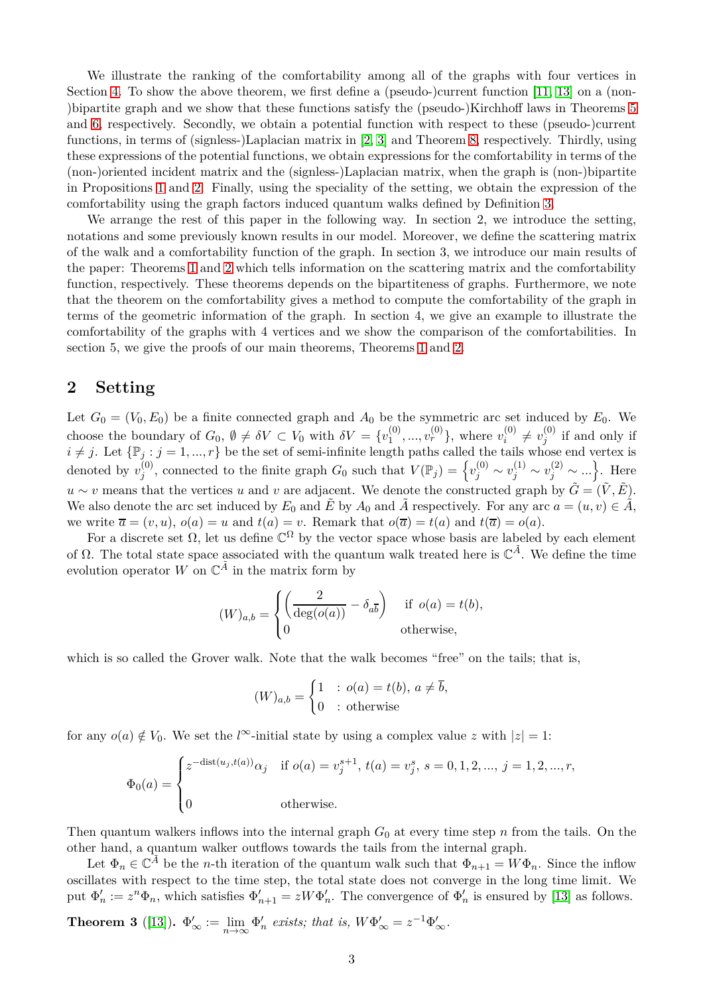We illustrate the ranking of the comfortability among all of the graphs with four vertices in Section [4.](#page-5-0) To show the above theorem, we first define a (pseudo-)current function [\[11,](#page-19-5) [13\]](#page-20-4) on a (non-)bipartite graph and we show that these functions satisfy the (pseudo-)Kirchhoff laws in Theorems [5](#page-11-0) and [6,](#page-12-0) respectively. Secondly, we obtain a potential function with respect to these (pseudo-)current functions, in terms of (signless-)Laplacian matrix in [\[2,](#page-19-6) [3\]](#page-19-7) and Theorem [8,](#page-13-0) respectively. Thirdly, using these expressions of the potential functions, we obtain expressions for the comfortability in terms of the (non-)oriented incident matrix and the (signless-)Laplacian matrix, when the graph is (non-)bipartite in Propositions [1](#page-16-0) and [2.](#page-17-0) Finally, using the speciality of the setting, we obtain the expression of the comfortability using the graph factors induced quantum walks defined by Definition [3.](#page-4-0)

We arrange the rest of this paper in the following way. In section 2, we introduce the setting, notations and some previously known results in our model. Moreover, we define the scattering matrix of the walk and a comfortability function of the graph. In section 3, we introduce our main results of the paper: Theorems [1](#page-1-0) and [2](#page-1-1) which tells information on the scattering matrix and the comfortability function, respectively. These theorems depends on the bipartiteness of graphs. Furthermore, we note that the theorem on the comfortability gives a method to compute the comfortability of the graph in terms of the geometric information of the graph. In section 4, we give an example to illustrate the comfortability of the graphs with 4 vertices and we show the comparison of the comfortabilities. In section 5, we give the proofs of our main theorems, Theorems [1](#page-1-0) and [2.](#page-1-1)

### **2 Setting**

Let  $G_0 = (V_0, E_0)$  be a finite connected graph and  $A_0$  be the symmetric arc set induced by  $E_0$ . We choose the boundary of  $G_0$ ,  $\emptyset \neq \delta V \subset V_0$  with  $\delta V = \{v_1^{(0)}\}$  $v_1^{(0)},...,v_r^{(0)}\}$ , where  $v_i^{(0)}$  $v_i^{(0)} \neq v_j^{(0)}$  $j^{(0)}$  if and only if  $i \neq j$ . Let  $\{\mathbb{P}_j : j = 1, ..., r\}$  be the set of semi-infinite length paths called the tails whose end vertex is denoted by  $v_i^{(0)}$  $y_j^{(0)}$ , connected to the finite graph  $G_0$  such that  $V(\mathbb{P}_j) = \left\{ v_j^{(0)} \sim v_j^{(1)} \sim v_j^{(2)} \sim ... \right\}$ . Here *u* ∼ *v* means that the vertices *u* and *v* are adjacent. We denote the constructed graph by  $\tilde{G} = (\tilde{V}, \tilde{E})$ . We also denote the arc set induced by  $E_0$  and  $\tilde{E}$  by  $A_0$  and  $\tilde{A}$  respectively. For any arc  $a = (u, v) \in \tilde{A}$ , we write  $\overline{a} = (v, u), o(a) = u$  and  $t(a) = v$ . Remark that  $o(\overline{a}) = t(a)$  and  $t(\overline{a}) = o(a)$ .

For a discrete set  $\Omega$ , let us define  $\mathbb{C}^{\Omega}$  by the vector space whose basis are labeled by each element of  $\Omega$ . The total state space associated with the quantum walk treated here is  $\mathbb{C}^{\tilde{A}}$ . We define the time evolution operator  $W$  on  $\mathbb{C}^{\tilde{A}}$  in the matrix form by

$$
(W)_{a,b} = \begin{cases} \left(\frac{2}{\deg(o(a))} - \delta_{a\overline{b}}\right) & \text{if } o(a) = t(b), \\ 0 & \text{otherwise,} \end{cases}
$$

which is so called the Grover walk. Note that the walk becomes "free" on the tails; that is,

$$
(W)_{a,b} = \begin{cases} 1 & : o(a) = t(b), \ a \neq \overline{b}, \\ 0 & : \text{otherwise} \end{cases}
$$

for any  $o(a) \notin V_0$ . We set the *l*<sup>∞</sup>-initial state by using a complex value *z* with  $|z| = 1$ :

$$
\Phi_0(a) = \begin{cases}\nz^{-\text{dist}(u_j, t(a))}\alpha_j & \text{if } o(a) = v_j^{s+1}, t(a) = v_j^s, s = 0, 1, 2, ..., j = 1, 2, ..., r, \\
0 & \text{otherwise.} \n\end{cases}
$$

Then quantum walkers inflows into the internal graph  $G_0$  at every time step *n* from the tails. On the other hand, a quantum walker outflows towards the tails from the internal graph.

Let  $\Phi_n \in \mathbb{C}^{\tilde{A}}$  be the *n*-th iteration of the quantum walk such that  $\Phi_{n+1} = W\Phi_n$ . Since the inflow oscillates with respect to the time step, the total state does not converge in the long time limit. We put  $\Phi'_n := z^n \Phi_n$ , which satisfies  $\Phi'_{n+1} = zW\Phi'_n$ . The convergence of  $\Phi'_n$  is ensured by [\[13\]](#page-20-4) as follows.

**Theorem 3** ([\[13\]](#page-20-4)).  $\Phi'_{\infty} := \lim_{n \to \infty} \Phi'_n$  exists; that is,  $W\Phi'_{\infty} = z^{-1}\Phi'_{\infty}$ .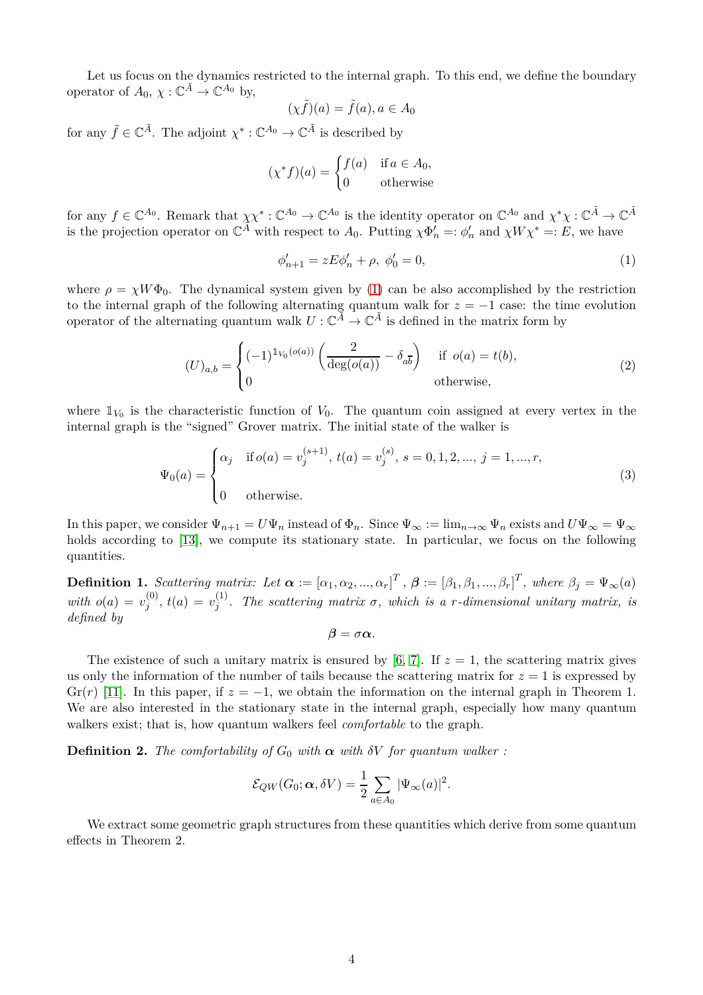Let us focus on the dynamics restricted to the internal graph. To this end, we define the boundary operator of  $A_0, \chi : \mathbb{C}^{\tilde{A}} \to \mathbb{C}^{A_0}$  by,

$$
(\chi \tilde{f})(a) = \tilde{f}(a), a \in A_0
$$

for any  $\tilde{f} \in \mathbb{C}^{\tilde{A}}$ . The adjoint  $\chi^* : \mathbb{C}^{A_0} \to \mathbb{C}^{\tilde{A}}$  is described by

$$
(\chi^* f)(a) = \begin{cases} f(a) & \text{if } a \in A_0, \\ 0 & \text{otherwise} \end{cases}
$$

for any  $f \in \mathbb{C}^{A_0}$ . Remark that  $\chi \chi^* : \mathbb{C}^{A_0} \to \mathbb{C}^{A_0}$  is the identity operator on  $\mathbb{C}^{A_0}$  and  $\chi^* \chi : \mathbb{C}^{\tilde{A}} \to \mathbb{C}^{\tilde{A}}$ is the projection operator on  $\mathbb{C}^{\widetilde{A}}$  with respect to  $A_0$ . Putting  $\chi \Phi'_n =: \phi'_n$  and  $\chi W \chi^* =: E$ , we have

<span id="page-3-1"></span>
$$
\phi'_{n+1} = zE\phi'_n + \rho, \ \phi'_0 = 0,\tag{1}
$$

where  $\rho = \chi W \Phi_0$ . The dynamical system given by [\(1\)](#page-3-1) can be also accomplished by the restriction to the internal graph of the following alternating quantum walk for  $z = -1$  case: the time evolution operator of the alternating quantum walk  $U: \mathbb{C}^{\tilde{A}} \to \mathbb{C}^{\tilde{A}}$  is defined in the matrix form by

<span id="page-3-2"></span>
$$
(U)_{a,b} = \begin{cases} (-1)^{\mathbb{1}_{V_0}(o(a))} \left( \frac{2}{\deg(o(a))} - \delta_{a\overline{b}} \right) & \text{if } o(a) = t(b), \\ 0 & \text{otherwise,} \end{cases}
$$
 (2)

where  $\mathbb{1}_{V_0}$  is the characteristic function of  $V_0$ . The quantum coin assigned at every vertex in the internal graph is the "signed" Grover matrix. The initial state of the walker is

<span id="page-3-3"></span>
$$
\Psi_0(a) = \begin{cases}\n\alpha_j & \text{if } o(a) = v_j^{(s+1)}, \ t(a) = v_j^{(s)}, \ s = 0, 1, 2, ..., \ j = 1, ..., r, \\
0 & \text{otherwise.} \n\end{cases}
$$
\n(3)

In this paper, we consider  $\Psi_{n+1} = U\Psi_n$  instead of  $\Phi_n$ . Since  $\Psi_\infty := \lim_{n\to\infty} \Psi_n$  exists and  $U\Psi_\infty = \Psi_\infty$ holds according to [\[13\]](#page-20-4), we compute its stationary state. In particular, we focus on the following quantities.

**Definition 1.** Scattering matrix: Let  $\boldsymbol{\alpha} := [\alpha_1, \alpha_2, ..., \alpha_r]^T$ ,  $\boldsymbol{\beta} := [\beta_1, \beta_1, ..., \beta_r]^T$ , where  $\beta_j = \Psi_{\infty}(a)$ *with*  $o(a) = v_i^{(0)}$  $y_j^{(0)}$ ,  $t(a) = v_j^{(1)}$ *j . The scattering matrix σ, which is a r-dimensional unitary matrix, is defined by*

$$
\beta=\sigma\alpha.
$$

The existence of such a unitary matrix is ensured by  $[6, 7]$  $[6, 7]$ . If  $z = 1$ , the scattering matrix gives us only the information of the number of tails because the scattering matrix for  $z = 1$  is expressed by  $\text{Gr}(r)$  [\[11\]](#page-19-5). In this paper, if  $z = -1$ , we obtain the information on the internal graph in Theorem 1. We are also interested in the stationary state in the internal graph, especially how many quantum walkers exist; that is, how quantum walkers feel *comfortable* to the graph.

<span id="page-3-0"></span>**Definition 2.** *The comfortability of*  $G_0$  *with*  $\alpha$  *with*  $\delta V$  *for quantum walker :* 

$$
\mathcal{E}_{QW}(G_0; \alpha, \delta V) = \frac{1}{2} \sum_{a \in A_0} |\Psi_{\infty}(a)|^2.
$$

We extract some geometric graph structures from these quantities which derive from some quantum effects in Theorem 2.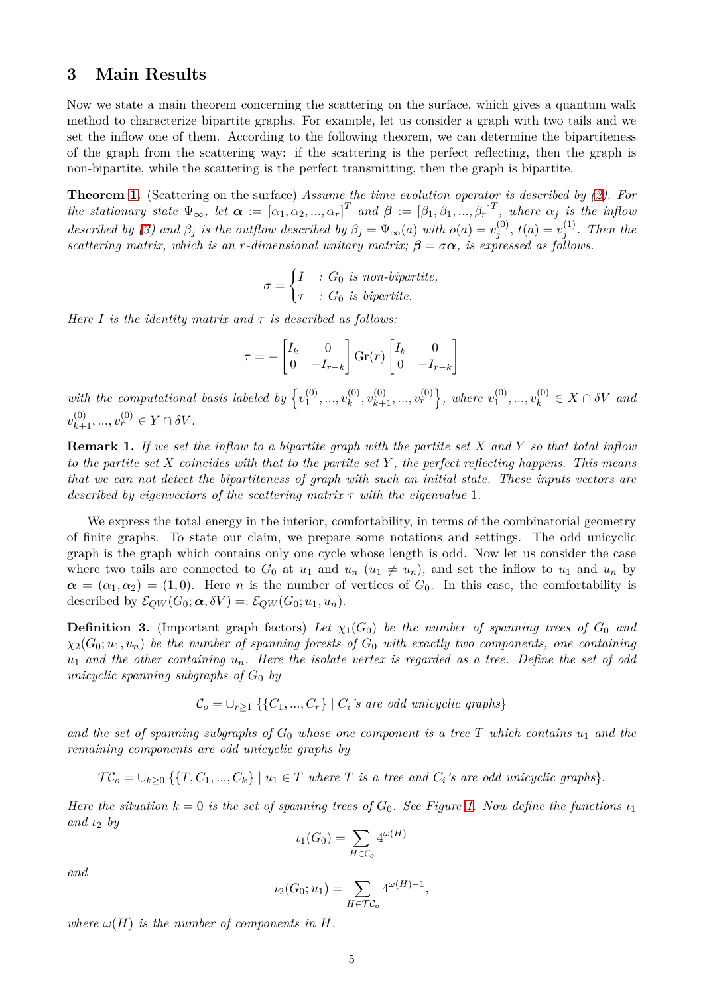### **3 Main Results**

Now we state a main theorem concerning the scattering on the surface, which gives a quantum walk method to characterize bipartite graphs. For example, let us consider a graph with two tails and we set the inflow one of them. According to the following theorem, we can determine the bipartiteness of the graph from the scattering way: if the scattering is the perfect reflecting, then the graph is non-bipartite, while the scattering is the perfect transmitting, then the graph is bipartite.

**Theorem [1.](#page-1-0)** (Scattering on the surface) *Assume the time evolution operator is described by [\(2\)](#page-3-2). For* the stationary state  $\Psi_{\infty}$ , let  $\alpha := [\alpha_1, \alpha_2, ..., \alpha_r]^T$  and  $\boldsymbol{\beta} := [\beta_1, \beta_1, ..., \beta_r]^T$ , where  $\alpha_j$  is the inflow *described by* [\(3\)](#page-3-3) and  $\beta_j$  *is the outflow described by*  $\beta_j = \Psi_\infty(a)$  *with*  $o(a) = v_j^{(0)}$  $j^{(0)}$ ,  $t(a) = v_j^{(1)}$ *j . Then the scattering matrix, which is an r-dimensional unitary matrix;*  $\beta = \sigma \alpha$ , *is expressed as follows.* 

$$
\sigma = \begin{cases} I & \text{: } G_0 \text{ is non-bipartite,} \\ \tau & \text{: } G_0 \text{ is bipartite.} \end{cases}
$$

*Here I is the identity matrix and*  $\tau$  *is described as follows:* 

$$
\tau = -\begin{bmatrix} I_k & 0 \\ 0 & -I_{r-k} \end{bmatrix} \text{Gr}(r) \begin{bmatrix} I_k & 0 \\ 0 & -I_{r-k} \end{bmatrix}
$$

with the computational basis labeled by  $\{v_1^{(0)}\}$  $\chi_1^{(0)},...,\psi_k^{(0)}$  $\{v_k^{(0)}, v_{k+1}^{(0)}, ..., v_r^{(0)}\}$ , where  $v_1^{(0)}$  $v_1^{(0)},...,v_k^{(0)} \in X \cap \delta V$  and  $v_{k+1}^{(0)}, ..., v_r^{(0)} \in Y \cap \delta V$ .

**Remark 1.** *If we set the inflow to a bipartite graph with the partite set X and Y so that total inflow to the partite set X coincides with that to the partite set Y , the perfect reflecting happens. This means that we can not detect the bipartiteness of graph with such an initial state. These inputs vectors are described by eigenvectors of the scattering matrix τ with the eigenvalue* 1*.*

We express the total energy in the interior, comfortability, in terms of the combinatorial geometry of finite graphs. To state our claim, we prepare some notations and settings. The odd unicyclic graph is the graph which contains only one cycle whose length is odd. Now let us consider the case where two tails are connected to  $G_0$  at  $u_1$  and  $u_n$  ( $u_1 \neq u_n$ ), and set the inflow to  $u_1$  and  $u_n$  by  $\alpha = (\alpha_1, \alpha_2) = (1, 0)$ . Here *n* is the number of vertices of *G*<sub>0</sub>. In this case, the comfortability is described by  $\mathcal{E}_{OW}(G_0; \alpha, \delta V) =: \mathcal{E}_{OW}(G_0; u_1, u_n).$ 

<span id="page-4-0"></span>**Definition 3.** (Important graph factors) Let  $\chi_1(G_0)$  be the number of spanning trees of  $G_0$  and  $\chi_2(G_0; u_1, u_n)$  be the number of spanning forests of  $G_0$  with exactly two components, one containing  $u_1$  *and the other containing*  $u_n$ *. Here the isolate vertex is regarded as a tree. Define the set of odd unicyclic spanning subgraphs of*  $G_0$  *by* 

 $\mathcal{C}_o = \cup_{r \geq 1} \{ \{C_1, ..., C_r\} \mid C_i$ 's are odd unicyclic graphs $\}$ 

*and the set of spanning subgraphs of G*<sup>0</sup> *whose one component is a tree T which contains u*<sup>1</sup> *and the remaining components are odd unicyclic graphs by*

 $\mathcal{TC}_o = \cup_{k \geq 0} \{ \{T, C_1, ..., C_k\} \mid u_1 \in T \text{ where } T \text{ is a tree and } C_i \text{'s are odd unicyclic graphs} \}.$ 

*Here the situation*  $k = 0$  *is the set of spanning trees of*  $G_0$ *. See Figure [1.](#page-5-1) Now define the functions*  $\iota_1$ *and ι*<sup>2</sup> *by*

$$
\iota_1(G_0) = \sum_{H \in \mathcal{C}_o} 4^{\omega(H)}
$$

*and*

$$
\iota_2(G_0; u_1) = \sum_{H \in \mathcal{TC}_o} 4^{\omega(H)-1},
$$

*where*  $\omega(H)$  *is the number of components in*  $H$ *.*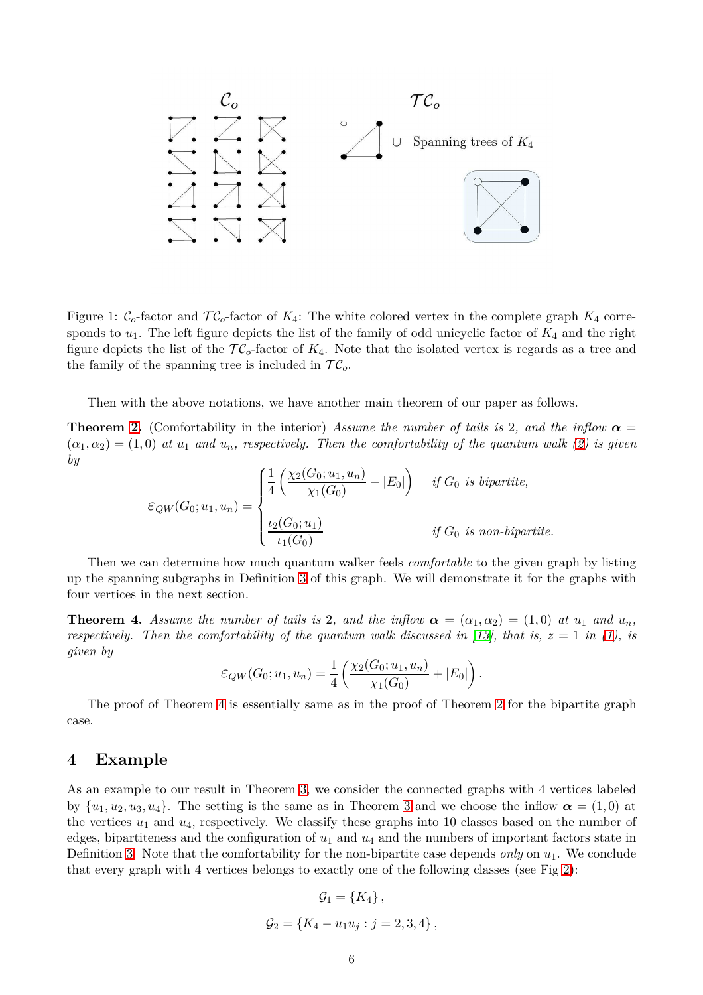

<span id="page-5-1"></span>Figure 1:  $C_o$ -factor and  $TC_o$ -factor of  $K_4$ : The white colored vertex in the complete graph  $K_4$  corresponds to  $u_1$ . The left figure depicts the list of the family of odd unicyclic factor of  $K_4$  and the right figure depicts the list of the  $TC_0$ -factor of  $K_4$ . Note that the isolated vertex is regards as a tree and the family of the spanning tree is included in  $TC_o$ .

Then with the above notations, we have another main theorem of our paper as follows.

**Theorem [2.](#page-1-1)** (Comfortability in the interior) *Assume the number of tails is* 2*, and the inflow*  $\alpha$  $(\alpha_1, \alpha_2) = (1, 0)$  *at*  $u_1$  *and*  $u_n$ *, respectively. Then the comfortability of the quantum walk* [\(2\)](#page-3-2) *is given by*

$$
\varepsilon_{QW}(G_0; u_1, u_n) = \begin{cases} \frac{1}{4} \left( \frac{\chi_2(G_0; u_1, u_n)}{\chi_1(G_0)} + |E_0| \right) & \text{if } G_0 \text{ is bipartite,} \\ \frac{\iota_2(G_0; u_1)}{\iota_1(G_0)} & \text{if } G_0 \text{ is non-bipartite.} \end{cases}
$$

Then we can determine how much quantum walker feels *comfortable* to the given graph by listing up the spanning subgraphs in Definition [3](#page-4-0) of this graph. We will demonstrate it for the graphs with four vertices in the next section.

<span id="page-5-2"></span>**Theorem 4.** Assume the number of tails is 2, and the inflow  $\alpha = (\alpha_1, \alpha_2) = (1, 0)$  at  $u_1$  and  $u_n$ , *respectively. Then the comfortability of the quantum walk discussed in [\[13\]](#page-20-4), that is,*  $z = 1$  *in [\(1\)](#page-3-1), is given by*

$$
\varepsilon_{QW}(G_0; u_1, u_n) = \frac{1}{4} \left( \frac{\chi_2(G_0; u_1, u_n)}{\chi_1(G_0)} + |E_0| \right).
$$

The proof of Theorem [4](#page-5-2) is essentially same as in the proof of Theorem [2](#page-1-1) for the bipartite graph case.

### <span id="page-5-0"></span>**4 Example**

As an example to our result in Theorem [3,](#page-4-0) we consider the connected graphs with 4 vertices labeled by  $\{u_1, u_2, u_3, u_4\}$ . The setting is the same as in Theorem [3](#page-4-0) and we choose the inflow  $\alpha = (1, 0)$  at the vertices *u*<sup>1</sup> and *u*4, respectively. We classify these graphs into 10 classes based on the number of edges, bipartiteness and the configuration of *u*<sup>1</sup> and *u*<sup>4</sup> and the numbers of important factors state in Definition [3.](#page-4-0) Note that the comfortability for the non-bipartite case depends *only* on *u*1. We conclude that every graph with 4 vertices belongs to exactly one of the following classes (see Fig [2\)](#page-7-0):

$$
\mathcal{G}_1 = \{K_4\},\
$$
  

$$
\mathcal{G}_2 = \{K_4 - u_1u_j : j = 2,3,4\},\
$$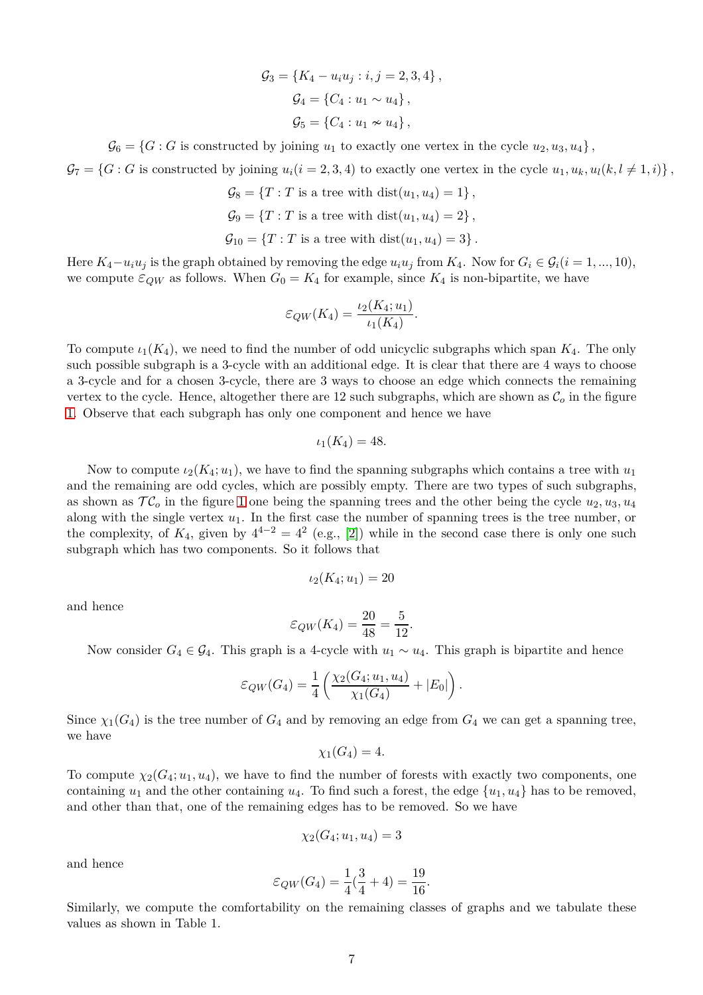$$
G_3 = \{K_4 - u_i u_j : i, j = 2, 3, 4\},\
$$
  
\n
$$
G_4 = \{C_4 : u_1 \sim u_4\},\
$$
  
\n
$$
G_5 = \{C_4 : u_1 \nsim u_4\},\
$$

 $\mathcal{G}_6 = \{G : G \text{ is constructed by joining } u_1 \text{ to exactly one vertex in the cycle } u_2, u_3, u_4\},\$ 

 $\mathcal{G}_7 = \{G : G \text{ is constructed by joining } u_i (i = 2, 3, 4) \text{ to exactly one vertex in the cycle } u_1, u_k, u_l (k, l \neq 1, i) \},$ 

 $\mathcal{G}_8 = \{T : T \text{ is a tree with } \text{dist}(u_1, u_4) = 1\},$  $\mathcal{G}_9 = \{T : T \text{ is a tree with } \text{dist}(u_1, u_4) = 2\},$  $\mathcal{G}_{10} = \{T : T \text{ is a tree with } \text{dist}(u_1, u_4) = 3\}.$ 

Here  $K_4 - u_i u_j$  is the graph obtained by removing the edge  $u_i u_j$  from  $K_4$ . Now for  $G_i \in \mathcal{G}_i$  ( $i = 1, ..., 10$ ), we compute  $\varepsilon_{QW}$  as follows. When  $G_0 = K_4$  for example, since  $K_4$  is non-bipartite, we have

$$
\varepsilon_{QW}(K_4) = \frac{\iota_2(K_4; u_1)}{\iota_1(K_4)}
$$

*.*

To compute  $\iota_1(K_4)$ , we need to find the number of odd unicyclic subgraphs which span  $K_4$ . The only such possible subgraph is a 3-cycle with an additional edge. It is clear that there are 4 ways to choose a 3-cycle and for a chosen 3-cycle, there are 3 ways to choose an edge which connects the remaining vertex to the cycle. Hence, altogether there are 12 such subgraphs, which are shown as  $\mathcal{C}_o$  in the figure [1.](#page-5-1) Observe that each subgraph has only one component and hence we have

$$
\iota_1(K_4)=48.
$$

Now to compute  $\iota_2(K_4; u_1)$ , we have to find the spanning subgraphs which contains a tree with  $u_1$ and the remaining are odd cycles, which are possibly empty. There are two types of such subgraphs, as shown as  $TC<sub>o</sub>$  in the figure [1](#page-5-1) one being the spanning trees and the other being the cycle  $u_2, u_3, u_4$ along with the single vertex *u*1. In the first case the number of spanning trees is the tree number, or the complexity, of  $K_4$ , given by  $4^{4-2} = 4^2$  (e.g., [\[2\]](#page-19-6)) while in the second case there is only one such subgraph which has two components. So it follows that

$$
\iota_2(K_4;u_1)=20
$$

and hence

$$
\varepsilon_{QW}(K_4) = \frac{20}{48} = \frac{5}{12}.
$$

Now consider  $G_4$  ∈  $G_4$ . This graph is a 4-cycle with  $u_1 \sim u_4$ . This graph is bipartite and hence

$$
\varepsilon_{QW}(G_4) = \frac{1}{4} \left( \frac{\chi_2(G_4; u_1, u_4)}{\chi_1(G_4)} + |E_0| \right).
$$

Since  $\chi_1(G_4)$  is the tree number of  $G_4$  and by removing an edge from  $G_4$  we can get a spanning tree, we have

$$
\chi_1(G_4)=4.
$$

To compute  $\chi_2(G_4; u_1, u_4)$ , we have to find the number of forests with exactly two components, one containing  $u_1$  and the other containing  $u_4$ . To find such a forest, the edge  $\{u_1, u_4\}$  has to be removed, and other than that, one of the remaining edges has to be removed. So we have

$$
\chi_2(G_4;u_1,u_4)=3
$$

and hence

$$
\varepsilon_{QW}(G_4) = \frac{1}{4}(\frac{3}{4} + 4) = \frac{19}{16}.
$$

Similarly, we compute the comfortability on the remaining classes of graphs and we tabulate these values as shown in Table 1.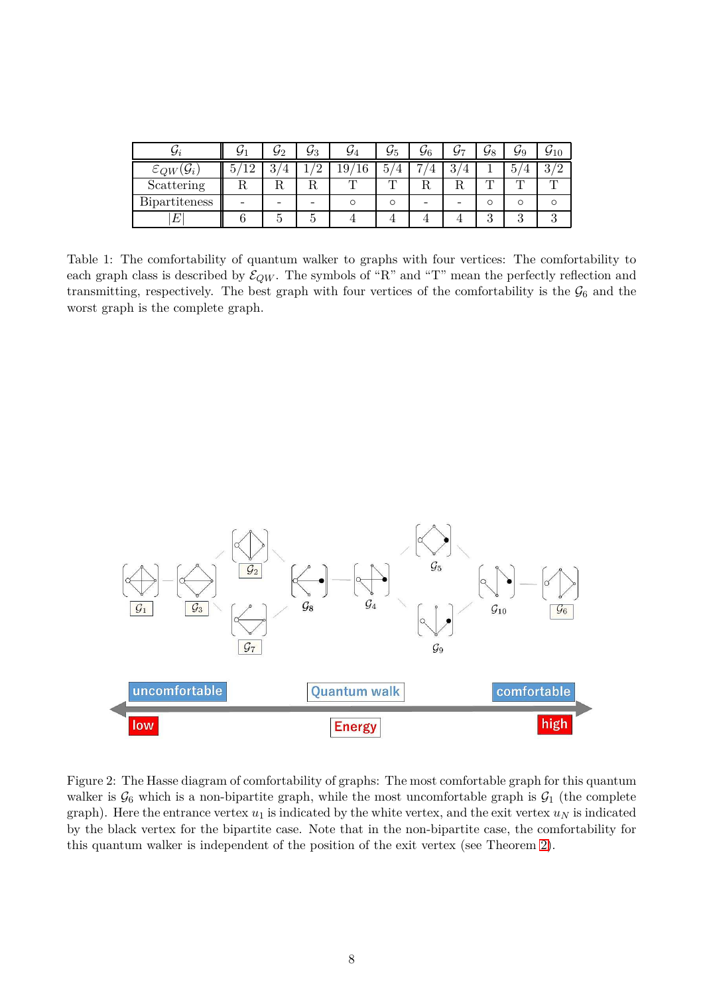|                          |   |   | 93 | 94 | У5 | 96         |                       | 98 | 99               |  |
|--------------------------|---|---|----|----|----|------------|-----------------------|----|------------------|--|
| $\varepsilon_{QW}$<br>Yi | ി | റ | ↵  | ⊥ச |    | ⇁<br>$\pm$ | ച<br>$\mathbf +$<br>ಀ |    | $\check{ }$<br>Ġ |  |
| Scattering               |   |   | πu |    | m  |            | η,                    |    |                  |  |
| <b>Bipartiteness</b>     |   |   |    |    |    |            |                       |    |                  |  |
|                          |   |   |    |    |    |            |                       |    |                  |  |

Table 1: The comfortability of quantum walker to graphs with four vertices: The comfortability to each graph class is described by  $\mathcal{E}_{QW}$ . The symbols of "R" and "T" mean the perfectly reflection and transmitting, respectively. The best graph with four vertices of the comfortability is the  $\mathcal{G}_6$  and the worst graph is the complete graph.



<span id="page-7-0"></span>Figure 2: The Hasse diagram of comfortability of graphs: The most comfortable graph for this quantum walker is  $\mathcal{G}_6$  which is a non-bipartite graph, while the most uncomfortable graph is  $\mathcal{G}_1$  (the complete graph). Here the entrance vertex  $u_1$  is indicated by the white vertex, and the exit vertex  $u_N$  is indicated by the black vertex for the bipartite case. Note that in the non-bipartite case, the comfortability for this quantum walker is independent of the position of the exit vertex (see Theorem [2\)](#page-1-1).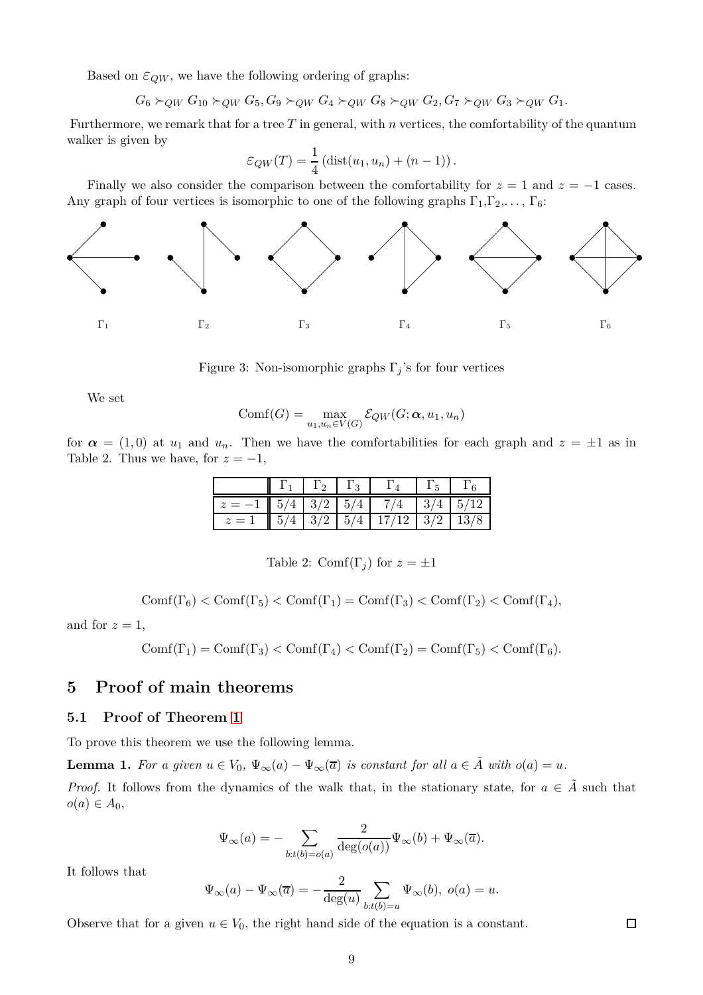Based on  $\varepsilon_{QW}$ , we have the following ordering of graphs:

 $G_6$  ≻*QW*  $G_{10}$  ≻*QW*  $G_5$ ,  $G_9$  ≻*QW*  $G_4$  ≻*QW*  $G_8$  ≻*QW*  $G_2$ ,  $G_7$  ≻*QW*  $G_3$  ≻*QW*  $G_1$ .

Furthermore, we remark that for a tree  $T$  in general, with  $n$  vertices, the comfortability of the quantum walker is given by

$$
\varepsilon_{QW}(T) = \frac{1}{4} \left( \text{dist}(u_1, u_n) + (n-1) \right).
$$

Finally we also consider the comparison between the comfortability for  $z = 1$  and  $z = -1$  cases. Any graph of four vertices is isomorphic to one of the following graphs  $\Gamma_1, \Gamma_2, \ldots, \Gamma_6$ :



Figure 3: Non-isomorphic graphs Γ*<sup>j</sup>* 's for four vertices

We set

$$
Comf(G) = \max_{u_1, u_n \in V(G)} \mathcal{E}_{QW}(G; \alpha, u_1, u_n)
$$

for  $\alpha = (1,0)$  at  $u_1$  and  $u_n$ . Then we have the comfortabilities for each graph and  $z = \pm 1$  as in Table 2. Thus we have, for  $z = -1$ ,

|                                                            | $\Gamma_1$   $\Gamma_2$   $\Gamma_3$ |  |  |
|------------------------------------------------------------|--------------------------------------|--|--|
| $z = -1$   $5/4$   $3/2$   $5/4$   $7/4$   $3/4$   $5/12$  |                                      |  |  |
| $z = 1$   $5/4$   $3/2$   $5/4$   $17/12$   $3/2$   $13/8$ |                                      |  |  |

Table 2: Comf( $\Gamma_i$ ) for  $z = \pm 1$ 

$$
\mathrm{Comf}(\Gamma_6)<\mathrm{Comf}(\Gamma_5)<\mathrm{Comf}(\Gamma_1)=\mathrm{Comf}(\Gamma_3)<\mathrm{Comf}(\Gamma_2)<\mathrm{Comf}(\Gamma_4),
$$

and for  $z = 1$ ,

$$
\mathrm{Comf}(\Gamma_1)=\mathrm{Comf}(\Gamma_3)<\mathrm{Comf}(\Gamma_4)<\mathrm{Comf}(\Gamma_2)=\mathrm{Comf}(\Gamma_5)<\mathrm{Comf}(\Gamma_6).
$$

## **5 Proof of main theorems**

### **5.1 Proof of Theorem [1](#page-1-0)**

To prove this theorem we use the following lemma.

<span id="page-8-0"></span>**Lemma 1.** For a given  $u \in V_0$ ,  $\Psi_{\infty}(a) - \Psi_{\infty}(\overline{a})$  is constant for all  $a \in \tilde{A}$  with  $o(a) = u$ .

*Proof.* It follows from the dynamics of the walk that, in the stationary state, for  $a \in \tilde{A}$  such that  $o(a) \in A_0$ ,

$$
\Psi_{\infty}(a) = - \sum_{b:t(b)=o(a)} \frac{2}{\deg(o(a))} \Psi_{\infty}(b) + \Psi_{\infty}(\overline{a}).
$$

It follows that

$$
\Psi_{\infty}(a) - \Psi_{\infty}(\overline{a}) = -\frac{2}{\deg(u)} \sum_{b:t(b)=u} \Psi_{\infty}(b), \ o(a) = u.
$$

Observe that for a given  $u \in V_0$ , the right hand side of the equation is a constant.

 $\Box$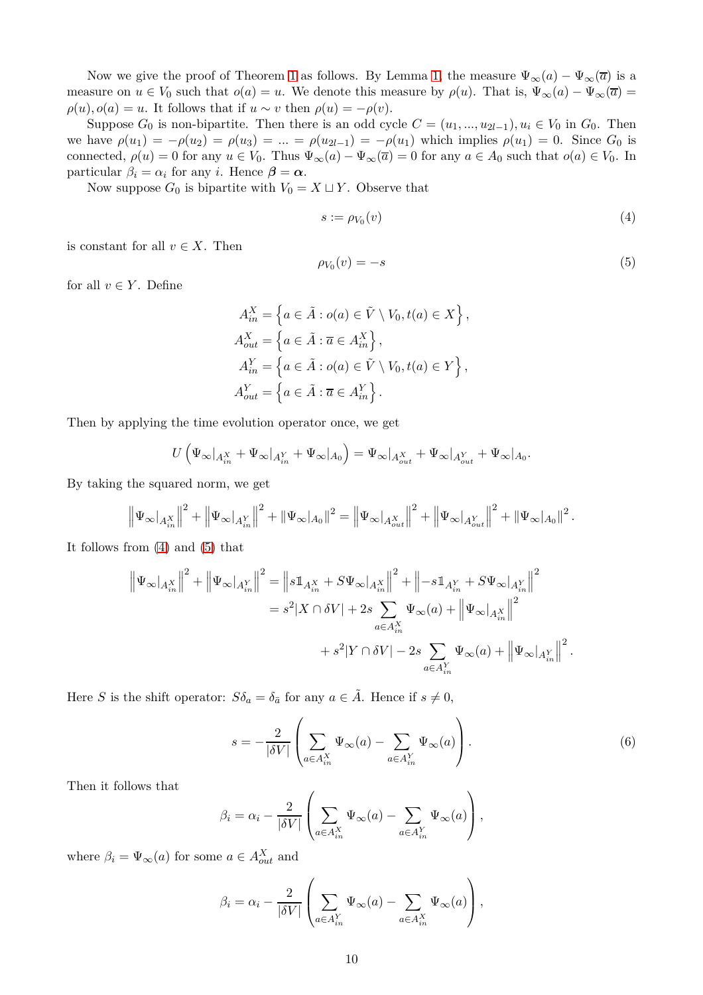Now we give the proof of Theorem [1](#page-1-0) as follows. By Lemma [1,](#page-8-0) the measure  $\Psi_{\infty}(a) - \Psi_{\infty}(\overline{a})$  is a measure on  $u \in V_0$  such that  $o(a) = u$ . We denote this measure by  $\rho(u)$ . That is,  $\Psi_{\infty}(a) - \Psi_{\infty}(\overline{a}) =$  $\rho(u)$ *,*  $o(a) = u$ . It follows that if  $u \sim v$  then  $\rho(u) = -\rho(v)$ .

Suppose  $G_0$  is non-bipartite. Then there is an odd cycle  $C = (u_1, ..., u_{2l-1}), u_i \in V_0$  in  $G_0$ . Then we have  $\rho(u_1) = -\rho(u_2) = \rho(u_3) = ... = \rho(u_{2l-1}) = -\rho(u_1)$  which implies  $\rho(u_1) = 0$ . Since  $G_0$  is connected,  $\rho(u) = 0$  for any  $u \in V_0$ . Thus  $\Psi_{\infty}(a) - \Psi_{\infty}(\overline{a}) = 0$  for any  $a \in A_0$  such that  $o(a) \in V_0$ . In particular  $\beta_i = \alpha_i$  for any *i*. Hence  $\beta = \alpha$ .

Now suppose  $G_0$  is bipartite with  $V_0 = X \sqcup Y$ . Observe that

<span id="page-9-0"></span>
$$
s := \rho_{V_0}(v) \tag{4}
$$

is constant for all  $v \in X$ . Then

<span id="page-9-1"></span>
$$
\rho_{V_0}(v) = -s \tag{5}
$$

for all  $v \in Y$ . Define

$$
A_{in}^{X} = \left\{ a \in \tilde{A} : o(a) \in \tilde{V} \setminus V_0, t(a) \in X \right\},
$$
  
\n
$$
A_{out}^{X} = \left\{ a \in \tilde{A} : \overline{a} \in A_{in}^{X} \right\},
$$
  
\n
$$
A_{in}^{Y} = \left\{ a \in \tilde{A} : o(a) \in \tilde{V} \setminus V_0, t(a) \in Y \right\},
$$
  
\n
$$
A_{out}^{Y} = \left\{ a \in \tilde{A} : \overline{a} \in A_{in}^{Y} \right\}.
$$

Then by applying the time evolution operator once, we get

$$
U\left(\Psi_\infty|_{A_{in}^X} + \Psi_\infty|_{A_{in}^Y} + \Psi_\infty|_{A_0}\right) = \Psi_\infty|_{A_{out}^X} + \Psi_\infty|_{A_{out}^Y} + \Psi_\infty|_{A_0}.
$$

By taking the squared norm, we get

$$
\left\|\Psi_{\infty}|_{A_{in}^X}\right\|^2 + \left\|\Psi_{\infty}|_{A_{in}^Y}\right\|^2 + \left\|\Psi_{\infty}|_{A_0}\right\|^2 = \left\|\Psi_{\infty}|_{A_{out}^X}\right\|^2 + \left\|\Psi_{\infty}|_{A_{out}^Y}\right\|^2 + \left\|\Psi_{\infty}|_{A_0}\right\|^2.
$$

It follows from [\(4\)](#page-9-0) and [\(5\)](#page-9-1) that

$$
\begin{split} \left\| \Psi_\infty\big|_{A_{in}^X} \right\|^2 + \left\| \Psi_\infty\big|_{A_{in}^Y} \right\|^2 &= \left\|s \mathbbm{1}_{A_{in}^X} + S \Psi_\infty\big|_{A_{in}^X} \right\|^2 + \left\|-s \mathbbm{1}_{A_{in}^Y} + S \Psi_\infty\big|_{A_{in}^Y} \right\|^2 \\ &= s^2 |X \cap \delta V| + 2s \sum_{a \in A_{in}^X} \Psi_\infty(a) + \left\| \Psi_\infty\big|_{A_{in}^X} \right\|^2 \\ &\hspace{10mm} + s^2 |Y \cap \delta V| - 2s \sum_{a \in A_{in}^Y} \Psi_\infty(a) + \left\| \Psi_\infty\big|_{A_{in}^Y} \right\|^2. \end{split}
$$

Here *S* is the shift operator:  $S\delta_a = \delta_{\bar{a}}$  for any  $a \in \tilde{A}$ . Hence if  $s \neq 0$ ,

<span id="page-9-2"></span>
$$
s = -\frac{2}{|\delta V|} \left( \sum_{a \in A_{in}^X} \Psi_\infty(a) - \sum_{a \in A_{in}^Y} \Psi_\infty(a) \right).
$$
 (6)

Then it follows that

$$
\beta_i = \alpha_i - \frac{2}{|\delta V|} \left( \sum_{a \in A_{in}^X} \Psi_\infty(a) - \sum_{a \in A_{in}^Y} \Psi_\infty(a) \right),
$$

where  $\beta_i = \Psi_{\infty}(a)$  for some  $a \in A_{out}^X$  and

$$
\beta_i = \alpha_i - \frac{2}{|\delta V|} \left( \sum_{a \in A_{in}^Y} \Psi_\infty(a) - \sum_{a \in A_{in}^X} \Psi_\infty(a) \right),
$$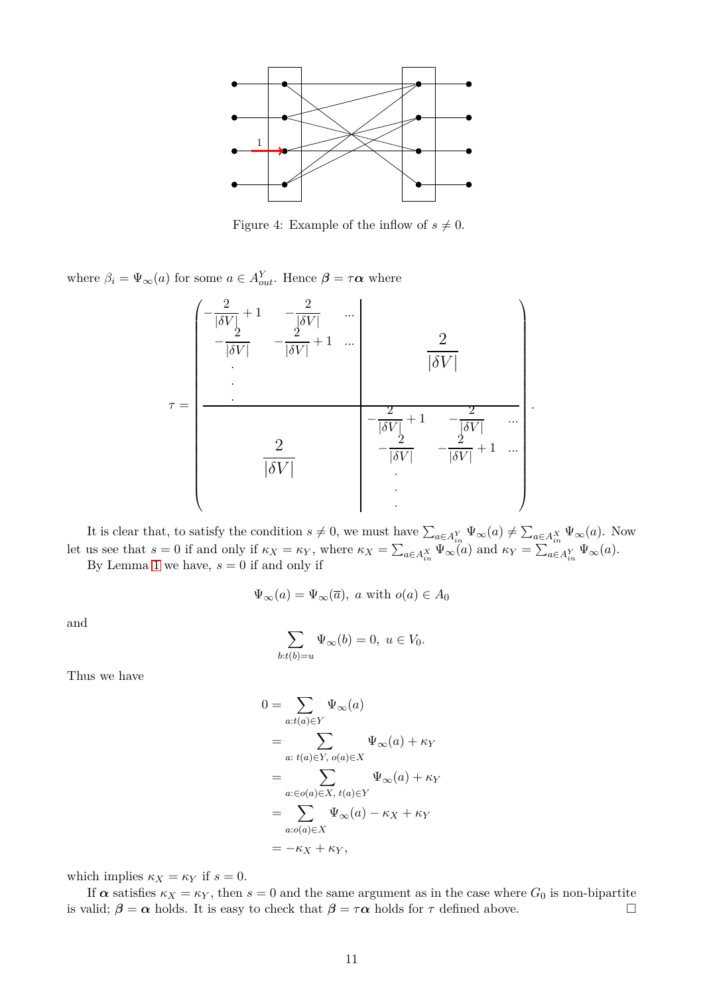

Figure 4: Example of the inflow of  $s \neq 0$ .

where  $\beta_i = \Psi_{\infty}(a)$  for some  $a \in A_{out}^Y$ . Hence  $\beta = \tau \alpha$  where

$$
\tau = \begin{pmatrix}\n-\frac{2}{|\delta V|} + 1 & -\frac{2}{|\delta V|} & \cdots \\
-\frac{2}{|\delta V|} & -\frac{2}{|\delta V|} + 1 & \cdots & \frac{2}{|\delta V|} \\
\vdots & \vdots & \ddots & \vdots \\
\frac{2}{|\delta V|} & \frac{2}{|\delta V|} & -\frac{2}{|\delta V|} & -\frac{2}{|\delta V|} + 1 & \cdots \\
& & & \vdots & \ddots\n\end{pmatrix}
$$

*.*

It is clear that, to satisfy the condition  $s \neq 0$ , we must have  $\sum_{a \in A_{in}^Y} \Psi_\infty(a) \neq \sum_{a \in A_{in}^X} \Psi_\infty(a)$ . Now let us see that  $s = 0$  if and only if  $\kappa_X = \kappa_Y$ , where  $\kappa_X = \sum_{a \in A_{in}^X} \Psi_\infty(a)$  and  $\kappa_Y = \sum_{a \in A_{in}^Y} \Psi_\infty(a)$ .

By Lemma [1](#page-8-0) we have,  $s = 0$  if and only if

$$
\Psi_{\infty}(a) = \Psi_{\infty}(\overline{a}), \ a \text{ with } o(a) \in A_0
$$

and

$$
\sum_{b:t(b)=u} \Psi_{\infty}(b) = 0, \ u \in V_0.
$$

Thus we have

$$
0 = \sum_{a:t(a)\in Y} \Psi_{\infty}(a)
$$
  
= 
$$
\sum_{a:\ t(a)\in Y, \ o(a)\in X} \Psi_{\infty}(a) + \kappa_Y
$$
  
= 
$$
\sum_{a:\in o(a)\in X, \ t(a)\in Y} \Psi_{\infty}(a) + \kappa_Y
$$
  
= 
$$
\sum_{a:\sigma(a)\in X} \Psi_{\infty}(a) - \kappa_X + \kappa_Y
$$
  
= 
$$
-\kappa_X + \kappa_Y,
$$

which implies  $\kappa_X = \kappa_Y$  if  $s = 0$ .

If  $\alpha$  satisfies  $\kappa_X = \kappa_Y$ , then  $s = 0$  and the same argument as in the case where  $G_0$  is non-bipartite is valid;  $\beta = \alpha$  holds. It is easy to check that  $\beta = \tau \alpha$  holds for  $\tau$  defined above.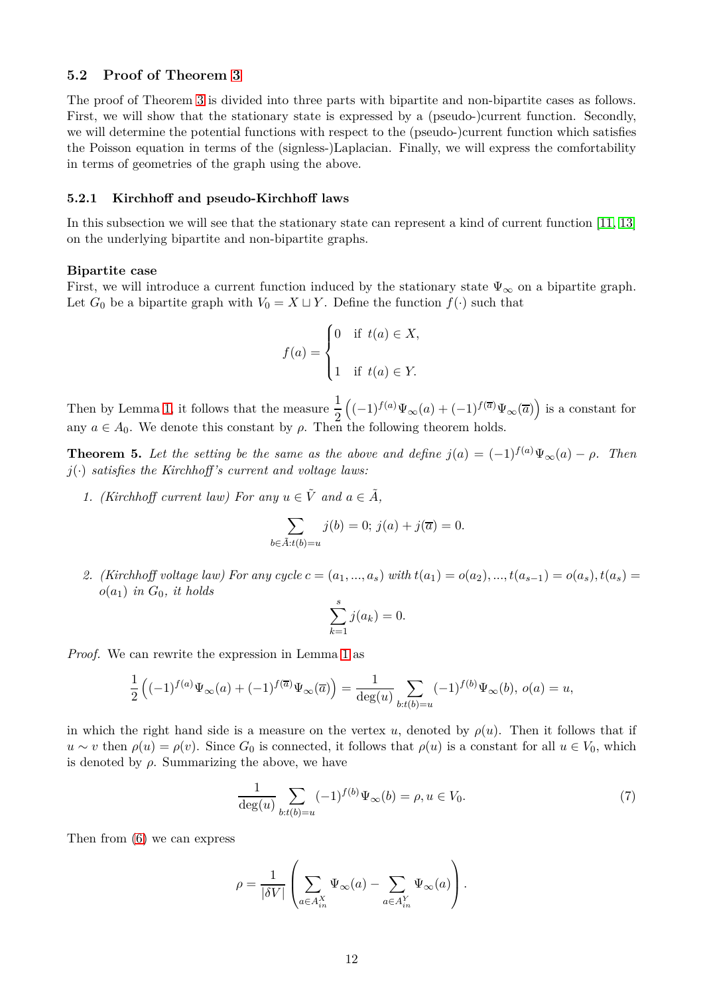### **5.2 Proof of Theorem [3](#page-4-0)**

The proof of Theorem [3](#page-4-0) is divided into three parts with bipartite and non-bipartite cases as follows. First, we will show that the stationary state is expressed by a (pseudo-)current function. Secondly, we will determine the potential functions with respect to the (pseudo-)current function which satisfies the Poisson equation in terms of the (signless-)Laplacian. Finally, we will express the comfortability in terms of geometries of the graph using the above.

### **5.2.1 Kirchhoff and pseudo-Kirchhoff laws**

In this subsection we will see that the stationary state can represent a kind of current function [\[11,](#page-19-5) [13\]](#page-20-4) on the underlying bipartite and non-bipartite graphs.

#### **Bipartite case**

First, we will introduce a current function induced by the stationary state  $\Psi_{\infty}$  on a bipartite graph. Let  $G_0$  be a bipartite graph with  $V_0 = X \sqcup Y$ . Define the function  $f(\cdot)$  such that

$$
f(a) = \begin{cases} 0 & \text{if } t(a) \in X, \\ 1 & \text{if } t(a) \in Y. \end{cases}
$$

Then by Lemma [1,](#page-8-0) it follows that the measure  $\frac{1}{2}$  $((-1)^{f(a)}\Psi_{\infty}(a) + (-1)^{f(\overline{a})}\Psi_{\infty}(\overline{a})$  is a constant for any  $a \in A_0$ . We denote this constant by  $\rho$ . Then the following theorem holds.

<span id="page-11-0"></span>**Theorem 5.** Let the setting be the same as the above and define  $j(a) = (-1)^{f(a)} \Psi_{\infty}(a) - \rho$ . Then  $j(.)$  *satisfies the Kirchhoff's current and voltage laws:* 

*1.* (Kirchhoff current law) For any  $u \in \tilde{V}$  and  $a \in \tilde{A}$ ,

$$
\sum_{b \in \tilde{A}: t(b) = u} j(b) = 0; j(a) + j(\overline{a}) = 0.
$$

2. (Kirchhoff voltage law) For any cycle  $c = (a_1, ..., a_s)$  with  $t(a_1) = o(a_2), ..., t(a_{s-1}) = o(a_s), t(a_s) =$  $o(a_1)$  *in*  $G_0$ *, it holds* 

$$
\sum_{k=1}^{s} j(a_k) = 0.
$$

*Proof.* We can rewrite the expression in Lemma [1](#page-8-0) as

$$
\frac{1}{2}\left((-1)^{f(a)}\Psi_{\infty}(a) + (-1)^{f(\overline{a})}\Psi_{\infty}(\overline{a})\right) = \frac{1}{\deg(u)}\sum_{b:t(b)=u}(-1)^{f(b)}\Psi_{\infty}(b), o(a) = u,
$$

in which the right hand side is a measure on the vertex *u*, denoted by  $\rho(u)$ . Then it follows that if  $u \sim v$  then  $\rho(u) = \rho(v)$ . Since  $G_0$  is connected, it follows that  $\rho(u)$  is a constant for all  $u \in V_0$ , which is denoted by  $\rho$ . Summarizing the above, we have

<span id="page-11-1"></span>
$$
\frac{1}{\deg(u)} \sum_{b:t(b)=u} (-1)^{f(b)} \Psi_{\infty}(b) = \rho, u \in V_0.
$$
\n(7)

Then from [\(6\)](#page-9-2) we can express

$$
\rho = \frac{1}{|\delta V|} \left( \sum_{a \in A_{in}^X} \Psi_\infty(a) - \sum_{a \in A_{in}^Y} \Psi_\infty(a) \right).
$$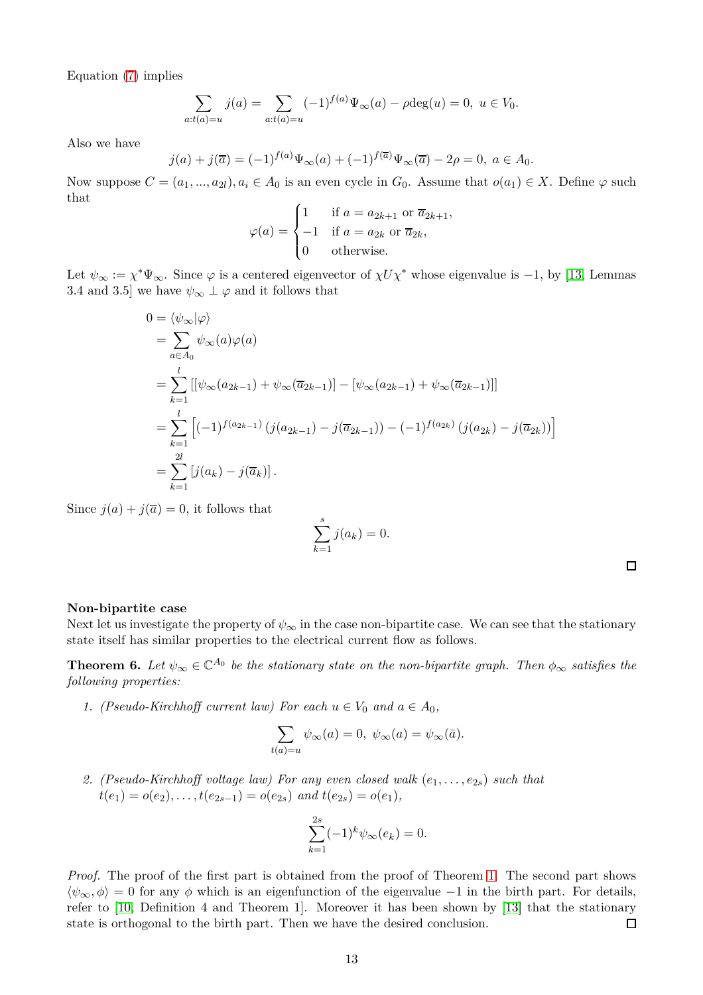Equation [\(7\)](#page-11-1) implies

$$
\sum_{a:t(a)=u} j(a) = \sum_{a:t(a)=u} (-1)^{f(a)} \Psi_{\infty}(a) - \rho \deg(u) = 0, \ u \in V_0.
$$

Also we have

$$
j(a) + j(\overline{a}) = (-1)^{f(a)} \Psi_{\infty}(a) + (-1)^{f(\overline{a})} \Psi_{\infty}(\overline{a}) - 2\rho = 0, \ a \in A_0.
$$

Now suppose  $C = (a_1, ..., a_{2l})$ ,  $a_i \in A_0$  is an even cycle in  $G_0$ . Assume that  $o(a_1) \in X$ . Define  $\varphi$  such that

$$
\varphi(a) = \begin{cases} 1 & \text{if } a = a_{2k+1} \text{ or } \overline{a}_{2k+1}, \\ -1 & \text{if } a = a_{2k} \text{ or } \overline{a}_{2k}, \\ 0 & \text{otherwise.} \end{cases}
$$

Let  $\psi_{\infty} := \chi^* \Psi_{\infty}$ . Since  $\varphi$  is a centered eigenvector of  $\chi U \chi^*$  whose eigenvalue is -1, by [\[13,](#page-20-4) Lemmas 3.4 and 3.5] we have  $\psi_{\infty} \perp \varphi$  and it follows that

$$
0 = \langle \psi_{\infty} | \varphi \rangle
$$
  
\n
$$
= \sum_{a \in A_0} \psi_{\infty}(a) \varphi(a)
$$
  
\n
$$
= \sum_{k=1}^l \left[ \psi_{\infty}(a_{2k-1}) + \psi_{\infty}(\overline{a}_{2k-1}) \right] - \left[ \psi_{\infty}(a_{2k-1}) + \psi_{\infty}(\overline{a}_{2k-1}) \right] \right]
$$
  
\n
$$
= \sum_{k=1}^l \left[ (-1)^{f(a_{2k-1})} \left( j(a_{2k-1}) - j(\overline{a}_{2k-1}) \right) - (-1)^{f(a_{2k})} \left( j(a_{2k}) - j(\overline{a}_{2k}) \right) \right]
$$
  
\n
$$
= \sum_{k=1}^{2l} \left[ j(a_k) - j(\overline{a}_k) \right].
$$

Since  $j(a) + j(\overline{a}) = 0$ , it follows that

$$
\sum_{k=1}^{s} j(a_k) = 0.
$$

#### **Non-bipartite case**

Next let us investigate the property of  $\psi_{\infty}$  in the case non-bipartite case. We can see that the stationary state itself has similar properties to the electrical current flow as follows.

<span id="page-12-0"></span>**Theorem 6.** Let  $\psi_{\infty} \in \mathbb{C}^{A_0}$  be the stationary state on the non-bipartite graph. Then  $\phi_{\infty}$  satisfies the *following properties:*

*1.* (Pseudo-Kirchhoff current law) For each  $u \in V_0$  and  $a \in A_0$ ,

$$
\sum_{t(a)=u} \psi_{\infty}(a) = 0, \ \psi_{\infty}(a) = \psi_{\infty}(\bar{a}).
$$

*2. (Pseudo-Kirchhoff voltage law) For any even closed walk* (*e*1*, . . . , e*2*s*) *such that*  $t(e_1) = o(e_2), \ldots, t(e_{2s-1}) = o(e_{2s})$  *and*  $t(e_{2s}) = o(e_1)$ *,* 

$$
\sum_{k=1}^{2s} (-1)^k \psi_{\infty}(e_k) = 0.
$$

*Proof.* The proof of the first part is obtained from the proof of Theorem [1.](#page-1-0) The second part shows  $\langle \psi_{\infty}, \phi \rangle = 0$  for any  $\phi$  which is an eigenfunction of the eigenvalue −1 in the birth part. For details, refer to [\[10,](#page-19-0) Definition 4 and Theorem 1]. Moreover it has been shown by [\[13\]](#page-20-4) that the stationary state is orthogonal to the birth part. Then we have the desired conclusion.  $\Box$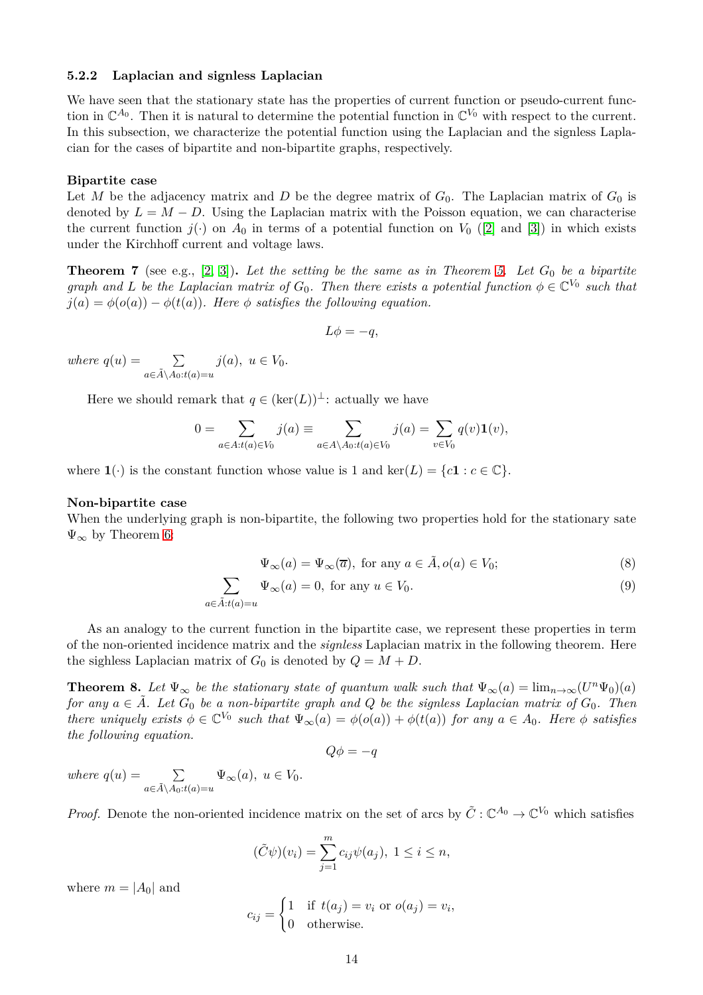#### **5.2.2 Laplacian and signless Laplacian**

We have seen that the stationary state has the properties of current function or pseudo-current function in  $\mathbb{C}^{A_0}$ . Then it is natural to determine the potential function in  $\mathbb{C}^{V_0}$  with respect to the current. In this subsection, we characterize the potential function using the Laplacian and the signless Laplacian for the cases of bipartite and non-bipartite graphs, respectively.

#### **Bipartite case**

Let *M* be the adjacency matrix and *D* be the degree matrix of  $G_0$ . The Laplacian matrix of  $G_0$  is denoted by  $L = M - D$ . Using the Laplacian matrix with the Poisson equation, we can characterise the current function  $j(.)$  on  $A_0$  in terms of a potential function on  $V_0$  ([\[2\]](#page-19-6) and [\[3\]](#page-19-7)) in which exists under the Kirchhoff current and voltage laws.

<span id="page-13-3"></span>**Theorem 7** (see e.g.,  $[2, 3]$  $[2, 3]$ ). Let the setting be the same as in Theorem [5.](#page-11-0) Let  $G_0$  be a bipartite *graph and L be the Laplacian matrix of*  $G_0$ *. Then there exists a potential function*  $\phi \in \mathbb{C}^{V_0}$  *such that*  $j(a) = \phi(o(a)) - \phi(t(a))$ *. Here*  $\phi$  *satisfies the following equation.* 

$$
L\phi = -q,
$$

*where*  $q(u) = \sum$ *a*∈*A*˜\*A*0:*t*(*a*)=*u j*(*a*)*,*  $u \in V_0$ *.* 

Here we should remark that  $q \in (\ker(L))^{\perp}$ : actually we have

$$
0 = \sum_{a \in A: t(a) \in V_0} j(a) \equiv \sum_{a \in A \setminus A_0: t(a) \in V_0} j(a) = \sum_{v \in V_0} q(v) \mathbf{1}(v),
$$

where  $\mathbf{1}(\cdot)$  is the constant function whose value is 1 and ker(*L*) = {*c***1** :  $c \in \mathbb{C}$ }.

#### **Non-bipartite case**

When the underlying graph is non-bipartite, the following two properties hold for the stationary sate  $\Psi_{\infty}$  by Theorem [6:](#page-12-0)

$$
\Psi_{\infty}(a) = \Psi_{\infty}(\overline{a}), \text{ for any } a \in \tilde{A}, o(a) \in V_0; \tag{8}
$$

$$
\sum_{a \in \tilde{A}: t(a) = u} \Psi_{\infty}(a) = 0, \text{ for any } u \in V_0.
$$
\n(9)

As an analogy to the current function in the bipartite case, we represent these properties in term of the non-oriented incidence matrix and the *signless* Laplacian matrix in the following theorem. Here the sighless Laplacian matrix of  $G_0$  is denoted by  $Q = M + D$ .

<span id="page-13-0"></span>**Theorem 8.** Let  $\Psi_{\infty}$  be the stationary state of quantum walk such that  $\Psi_{\infty}(a) = \lim_{n \to \infty} (U^n \Psi_0)(a)$ *for any*  $a \in \tilde{A}$ . Let  $G_0$  be a non-bipartite graph and Q be the signless Laplacian matrix of  $G_0$ . Then *there uniquely exists*  $\phi \in \mathbb{C}^{V_0}$  *such that*  $\Psi_{\infty}(a) = \phi(o(a)) + \phi(t(a))$  *for any*  $a \in A_0$ *. Here*  $\phi$  *satisfies the following equation.*

<span id="page-13-2"></span><span id="page-13-1"></span> $Q\phi = -q$ 

*where*  $q(u) = \sum$ *a*∈*A*˜\*A*0:*t*(*a*)=*u*  $\Psi_{\infty}(a), u \in V_0.$ 

*Proof.* Denote the non-oriented incidence matrix on the set of arcs by  $\tilde{C}$  :  $\mathbb{C}^{A_0} \to \mathbb{C}^{V_0}$  which satisfies

$$
(\tilde{C}\psi)(v_i) = \sum_{j=1}^m c_{ij}\psi(a_j), \ 1 \leq i \leq n,
$$

where  $m = |A_0|$  and

$$
c_{ij} = \begin{cases} 1 & \text{if } t(a_j) = v_i \text{ or } o(a_j) = v_i, \\ 0 & \text{otherwise.} \end{cases}
$$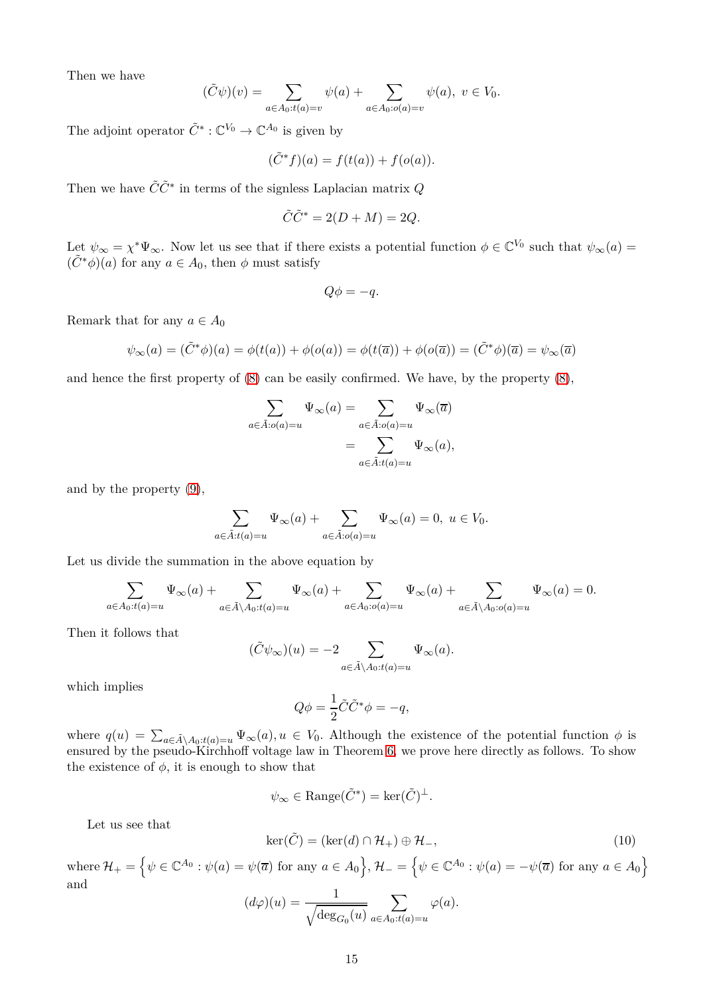Then we have

$$
(\tilde{C}\psi)(v) = \sum_{a \in A_0: t(a) = v} \psi(a) + \sum_{a \in A_0: o(a) = v} \psi(a), \ v \in V_0.
$$

The adjoint operator  $\tilde{C}^* : \mathbb{C}^{V_0} \to \mathbb{C}^{A_0}$  is given by

$$
(\tilde{C}^*f)(a) = f(t(a)) + f(o(a)).
$$

Then we have  $\tilde{C}\tilde{C}^*$  in terms of the signless Laplacian matrix  $Q$ 

$$
\tilde{C}\tilde{C}^* = 2(D + M) = 2Q.
$$

Let  $\psi_{\infty} = \chi^* \Psi_{\infty}$ . Now let us see that if there exists a potential function  $\phi \in \mathbb{C}^{V_0}$  such that  $\psi_{\infty}(a)$  $(\tilde{C}^*\phi)(a)$  for any  $a \in A_0$ , then  $\phi$  must satisfy

$$
Q\phi = -q.
$$

Remark that for any  $a \in A_0$ 

$$
\psi_{\infty}(a) = (\tilde{C}^*\phi)(a) = \phi(t(a)) + \phi(o(a)) = \phi(t(\overline{a})) + \phi(o(\overline{a})) = (\tilde{C}^*\phi)(\overline{a}) = \psi_{\infty}(\overline{a})
$$

and hence the first property of [\(8\)](#page-13-1) can be easily confirmed. We have, by the property [\(8\)](#page-13-1),

$$
\sum_{a \in \tilde{A}: o(a) = u} \Psi_{\infty}(a) = \sum_{a \in \tilde{A}: o(a) = u} \Psi_{\infty}(\overline{a})
$$

$$
= \sum_{a \in \tilde{A}: t(a) = u} \Psi_{\infty}(a),
$$

and by the property [\(9\)](#page-13-2),

$$
\sum_{a \in \tilde{A}: t(a) = u} \Psi_{\infty}(a) + \sum_{a \in \tilde{A}: o(a) = u} \Psi_{\infty}(a) = 0, \ u \in V_0.
$$

Let us divide the summation in the above equation by

$$
\sum_{a\in A_0: t(a)=u}\Psi_\infty(a)+\sum_{a\in \tilde A\backslash A_0: t(a)=u}\Psi_\infty(a)+\sum_{a\in A_0: o(a)=u}\Psi_\infty(a)+\sum_{a\in \tilde A\backslash A_0: o(a)=u}\Psi_\infty(a)=0.
$$

Then it follows that

$$
(\tilde{C}\psi_{\infty})(u) = -2 \sum_{a \in \tilde{A} \setminus A_0: t(a) = u} \Psi_{\infty}(a).
$$

which implies

$$
Q\phi = \frac{1}{2}\tilde{C}\tilde{C}^*\phi = -q,
$$

where  $q(u) = \sum_{a \in \tilde{A} \setminus A_0: t(a) = u} \Psi_\infty(a), u \in V_0$ . Although the existence of the potential function  $\phi$  is ensured by the pseudo-Kirchhoff voltage law in Theorem [6,](#page-12-0) we prove here directly as follows. To show the existence of  $\phi$ , it is enough to show that

$$
\psi_{\infty} \in \text{Range}(\tilde{C}^*) = \text{ker}(\tilde{C})^{\perp}.
$$

Let us see that

<span id="page-14-0"></span>
$$
\ker(\tilde{C}) = (\ker(d) \cap \mathcal{H}_+) \oplus \mathcal{H}_-,
$$
\n(10)

 $\text{where } \mathcal{H}_+ = \left\{ \psi \in \mathbb{C}^{A_0} : \psi(a) = \psi(\overline{a}) \text{ for any } a \in A_0 \right\}, \mathcal{H}_- = \left\{ \psi \in \mathbb{C}^{A_0} : \psi(a) = -\psi(\overline{a}) \text{ for any } a \in A_0 \right\}.$ and

$$
(d\varphi)(u) = \frac{1}{\sqrt{\deg_{G_0}(u)}} \sum_{a \in A_0: t(a) = u} \varphi(a).
$$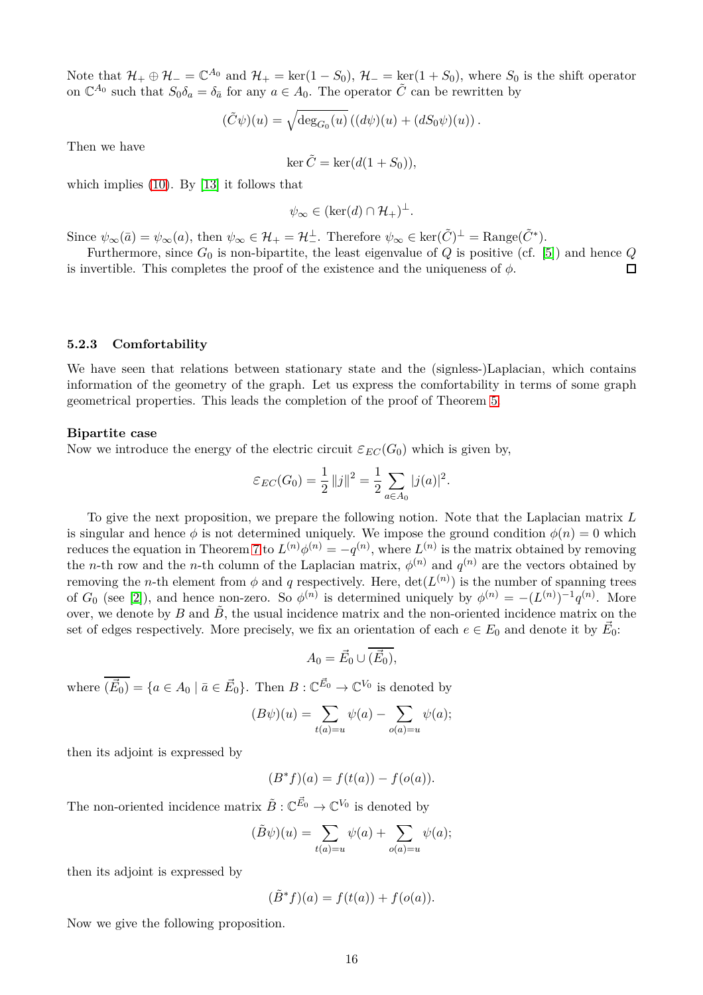Note that  $\mathcal{H}_+ \oplus \mathcal{H}_- = \mathbb{C}^{A_0}$  and  $\mathcal{H}_+ = \text{ker}(1 - S_0)$ ,  $\mathcal{H}_- = \text{ker}(1 + S_0)$ , where  $S_0$  is the shift operator on  $\mathbb{C}^{A_0}$  such that  $S_0 \delta_a = \delta_{\bar{a}}$  for any  $a \in A_0$ . The operator  $\tilde{C}$  can be rewritten by

$$
(\tilde{C}\psi)(u) = \sqrt{\deg_{G_0}(u)} \left( (d\psi)(u) + (dS_0\psi)(u) \right).
$$

Then we have

 $\ker \tilde{C} = \ker(d(1 + S_0)),$ 

which implies [\(10\)](#page-14-0). By [\[13\]](#page-20-4) it follows that

$$
\psi_{\infty} \in (\ker(d) \cap \mathcal{H}_+)^\perp.
$$

Since  $\psi_{\infty}(\bar{a}) = \psi_{\infty}(a)$ , then  $\psi_{\infty} \in \mathcal{H}_{+} = \mathcal{H}_{-}^{\perp}$ . Therefore  $\psi_{\infty} \in \text{ker}(\tilde{C})^{\perp} = \text{Range}(\tilde{C}^{*})$ .

Furthermore, since  $G_0$  is non-bipartite, the least eigenvalue of  $Q$  is positive (cf. [\[5\]](#page-19-8)) and hence  $Q$ is invertible. This completes the proof of the existence and the uniqueness of  $\phi$ .  $\Box$ 

#### **5.2.3 Comfortability**

We have seen that relations between stationary state and the (signless-)Laplacian, which contains information of the geometry of the graph. Let us express the comfortability in terms of some graph geometrical properties. This leads the completion of the proof of Theorem [5.](#page-11-0)

#### **Bipartite case**

Now we introduce the energy of the electric circuit  $\varepsilon_{EC}(G_0)$  which is given by,

$$
\varepsilon_{EC}(G_0) = \frac{1}{2} ||j||^2 = \frac{1}{2} \sum_{a \in A_0} |j(a)|^2.
$$

To give the next proposition, we prepare the following notion. Note that the Laplacian matrix *L* is singular and hence  $\phi$  is not determined uniquely. We impose the ground condition  $\phi(n) = 0$  which reduces the equation in Theorem [7](#page-13-3) to  $L^{(n)}\phi^{(n)} = -q^{(n)}$ , where  $L^{(n)}$  is the matrix obtained by removing the *n*-th row and the *n*-th column of the Laplacian matrix,  $\phi^{(n)}$  and  $q^{(n)}$  are the vectors obtained by removing the *n*-th element from  $\phi$  and *q* respectively. Here,  $\det(L^{(n)})$  is the number of spanning trees of  $G_0$  (see [\[2\]](#page-19-6)), and hence non-zero. So  $\phi^{(n)}$  is determined uniquely by  $\phi^{(n)} = -(L^{(n)})^{-1}q^{(n)}$ . More over, we denote by  $B$  and  $\tilde{B}$ , the usual incidence matrix and the non-oriented incidence matrix on the set of edges respectively. More precisely, we fix an orientation of each  $e \in E_0$  and denote it by  $\vec{E}_0$ :

$$
A_0 = \vec{E}_0 \cup (\vec{E}_0),
$$

where  $(\vec{E}_0) = \{a \in A_0 \mid \bar{a} \in \vec{E}_0\}$ . Then  $B: \mathbb{C}^{\vec{E}_0} \to \mathbb{C}^{V_0}$  is denoted by

$$
(B\psi)(u) = \sum_{t(a)=u} \psi(a) - \sum_{o(a)=u} \psi(a);
$$

then its adjoint is expressed by

$$
(B^*f)(a) = f(t(a)) - f(o(a)).
$$

The non-oriented incidence matrix  $\tilde{B} : \mathbb{C}^{\vec{E_0}} \to \mathbb{C}^{V_0}$  is denoted by

$$
(\tilde{B}\psi)(u) = \sum_{t(a)=u} \psi(a) + \sum_{o(a)=u} \psi(a);
$$

then its adjoint is expressed by

$$
(\tilde{B}^*f)(a) = f(t(a)) + f(o(a)).
$$

Now we give the following proposition.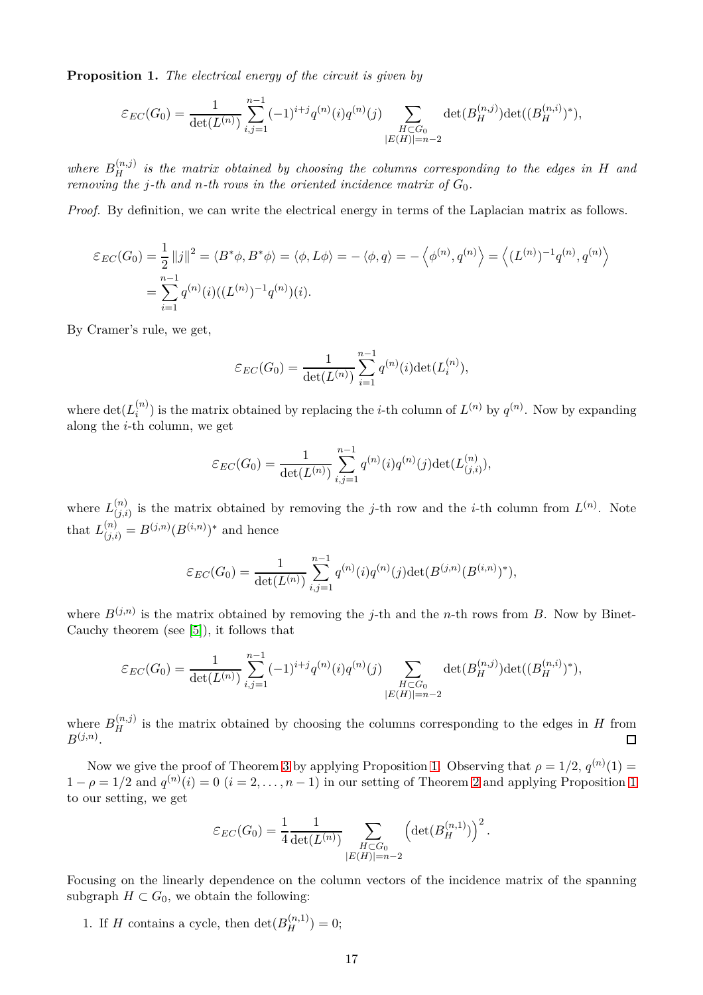<span id="page-16-0"></span>**Proposition 1.** *The electrical energy of the circuit is given by*

$$
\varepsilon_{EC}(G_0) = \frac{1}{\det(L^{(n)})} \sum_{i,j=1}^{n-1} (-1)^{i+j} q^{(n)}(i) q^{(n)}(j) \sum_{\substack{H \subset G_0 \\ |E(H)| = n-2}} \det(B_H^{(n,j)}) \det((B_H^{(n,i)})^*),
$$

where  $B_H^{(n,j)}$  is the matrix obtained by choosing the columns corresponding to the edges in *H* and *removing the j*-th and *n*-th rows in the oriented incidence matrix of  $G_0$ .

*Proof.* By definition, we can write the electrical energy in terms of the Laplacian matrix as follows.

$$
\mathcal{E}_{EC}(G_0) = \frac{1}{2} ||j||^2 = \langle B^* \phi, B^* \phi \rangle = \langle \phi, L\phi \rangle = -\langle \phi, q \rangle = -\langle \phi^{(n)}, q^{(n)} \rangle = \langle (L^{(n)})^{-1} q^{(n)}, q^{(n)} \rangle
$$
  
= 
$$
\sum_{i=1}^{n-1} q^{(n)}(i) ((L^{(n)})^{-1} q^{(n)})(i).
$$

By Cramer's rule, we get,

$$
\varepsilon_{EC}(G_0) = \frac{1}{\det(L^{(n)})} \sum_{i=1}^{n-1} q^{(n)}(i) \det(L_i^{(n)}),
$$

where  $\det(L_i^{(n)})$  $i^{(n)}$  is the matrix obtained by replacing the *i*-th column of  $L^{(n)}$  by  $q^{(n)}$ . Now by expanding along the *i*-th column, we get

$$
\varepsilon_{EC}(G_0) = \frac{1}{\det(L^{(n)})} \sum_{i,j=1}^{n-1} q^{(n)}(i) q^{(n)}(j) \det(L^{(n)}_{(j,i)}),
$$

where  $L_{(i,i)}^{(n)}$  $\binom{n}{(j,i)}$  is the matrix obtained by removing the *j*-th row and the *i*-th column from  $L^{(n)}$ . Note that  $L_{(j,i)}^{(n)} = B^{(j,n)}(B^{(i,n)})^*$  and hence

$$
\varepsilon_{EC}(G_0) = \frac{1}{\det(L^{(n)})} \sum_{i,j=1}^{n-1} q^{(n)}(i) q^{(n)}(j) \det(B^{(j,n)}(B^{(i,n)})^*),
$$

where  $B^{(j,n)}$  is the matrix obtained by removing the *j*-th and the *n*-th rows from *B*. Now by Binet-Cauchy theorem (see [\[5\]](#page-19-8)), it follows that

$$
\varepsilon_{EC}(G_0) = \frac{1}{\det(L^{(n)})} \sum_{i,j=1}^{n-1} (-1)^{i+j} q^{(n)}(i) q^{(n)}(j) \sum_{\substack{H \subset G_0 \\ |E(H)| = n-2}} \det(B_H^{(n,j)}) \det((B_H^{(n,i)})^*),
$$

where  $B_H^{(n,j)}$  is the matrix obtained by choosing the columns corresponding to the edges in *H* from  $B^{(j,n)}$ .  $\Box$ 

Now we give the proof of Theorem [3](#page-4-0) by applying Proposition [1.](#page-16-0) Observing that  $\rho = 1/2$ ,  $q^{(n)}(1) =$  $1 - \rho = 1/2$  $1 - \rho = 1/2$  $1 - \rho = 1/2$  and  $q^{(n)}(i) = 0$   $(i = 2, \ldots, n - 1)$  $(i = 2, \ldots, n - 1)$  $(i = 2, \ldots, n - 1)$  in our setting of Theorem 2 and applying Proposition 1 to our setting, we get

$$
\varepsilon_{EC}(G_0) = \frac{1}{4} \frac{1}{\det(L^{(n)})} \sum_{\substack{H \subset G_0 \\ |E(H)| = n-2}} \left( \det(B_H^{(n,1)}) \right)^2.
$$

Focusing on the linearly dependence on the column vectors of the incidence matrix of the spanning subgraph  $H \subset G_0$ , we obtain the following:

1. If *H* contains a cycle, then  $\det(B_H^{(n,1)}) = 0$ ;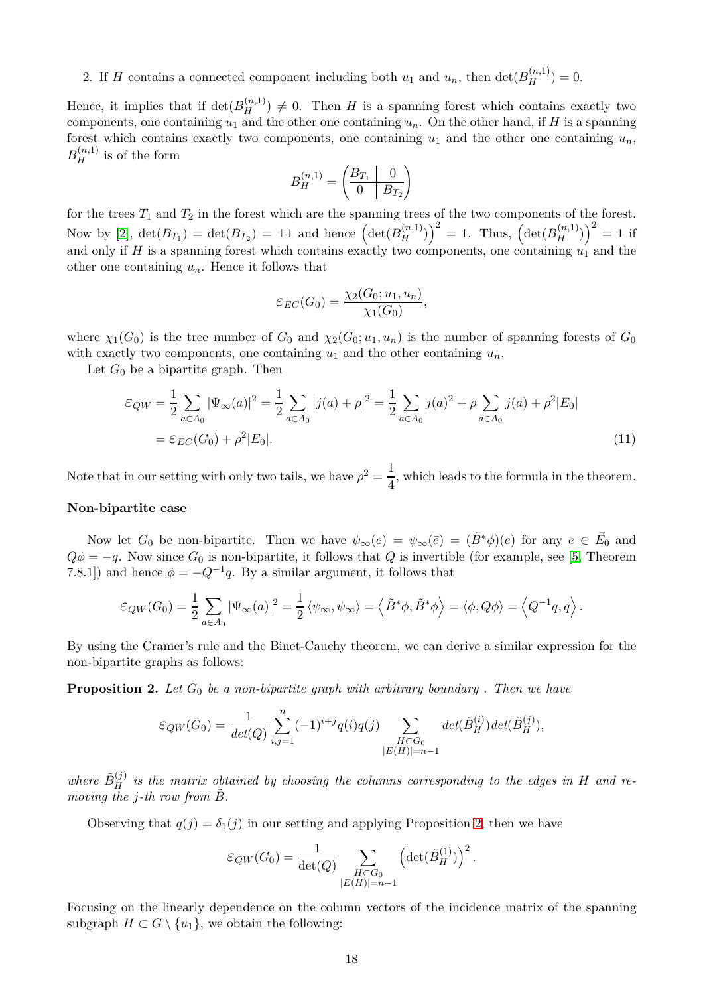2. If *H* contains a connected component including both  $u_1$  and  $u_n$ , then  $\det(B_H^{(n,1)}) = 0$ .

Hence, it implies that if  $\det(B_H^{(n,1)}) \neq 0$ . Then *H* is a spanning forest which contains exactly two components, one containing  $u_1$  and the other one containing  $u_n$ . On the other hand, if *H* is a spanning forest which contains exactly two components, one containing  $u_1$  and the other one containing  $u_n$ ,  $B_H^{(n,1)}$  is of the form

$$
B_H^{(n,1)} = \begin{pmatrix} B_{T_1} & 0 \\ 0 & B_{T_2} \end{pmatrix}
$$

for the trees  $T_1$  and  $T_2$  in the forest which are the spanning trees of the two components of the forest. Now by [\[2\]](#page-19-6),  $\det(B_{T_1}) = \det(B_{T_2}) = \pm 1$  and hence  $\left(\det(B_H^{(n,1)})\right)^2 = 1$ . Thus,  $\left(\det(B_H^{(n,1)})\right)^2 = 1$  if and only if *H* is a spanning forest which contains exactly two components, one containing  $u_1$  and the other one containing *un*. Hence it follows that

$$
\varepsilon_{EC}(G_0) = \frac{\chi_2(G_0; u_1, u_n)}{\chi_1(G_0)},
$$

where  $\chi_1(G_0)$  is the tree number of  $G_0$  and  $\chi_2(G_0; u_1, u_n)$  is the number of spanning forests of  $G_0$ with exactly two components, one containing  $u_1$  and the other containing  $u_n$ .

Let  $G_0$  be a bipartite graph. Then

$$
\varepsilon_{QW} = \frac{1}{2} \sum_{a \in A_0} |\Psi_{\infty}(a)|^2 = \frac{1}{2} \sum_{a \in A_0} |j(a) + \rho|^2 = \frac{1}{2} \sum_{a \in A_0} j(a)^2 + \rho \sum_{a \in A_0} j(a) + \rho^2 |E_0|
$$
  
=  $\varepsilon_{EC}(G_0) + \rho^2 |E_0|.$  (11)

Note that in our setting with only two tails, we have  $\rho^2 = \frac{1}{4}$  $\frac{1}{4}$ , which leads to the formula in the theorem.

#### **Non-bipartite case**

Now let  $G_0$  be non-bipartite. Then we have  $\psi_\infty(e) = \psi_\infty(\bar{e}) = (\tilde{B}^*\phi)(e)$  for any  $e \in \vec{E}_0$  and  $Q\phi = -q$ . Now since  $G_0$  is non-bipartite, it follows that *Q* is invertible (for example, see [\[5,](#page-19-8) Theorem 7.8.1]) and hence  $\phi = -Q^{-1}q$ . By a similar argument, it follows that

$$
\varepsilon_{QW}(G_0) = \frac{1}{2} \sum_{a \in A_0} |\Psi_{\infty}(a)|^2 = \frac{1}{2} \langle \psi_{\infty}, \psi_{\infty} \rangle = \langle \tilde{B}^* \phi, \tilde{B}^* \phi \rangle = \langle \phi, Q\phi \rangle = \langle Q^{-1}q, q \rangle.
$$

By using the Cramer's rule and the Binet-Cauchy theorem, we can derive a similar expression for the non-bipartite graphs as follows:

<span id="page-17-0"></span>**Proposition 2.** Let  $G_0$  be a non-bipartite graph with arbitrary boundary. Then we have

$$
\varepsilon_{QW}(G_0) = \frac{1}{\det(Q)} \sum_{i,j=1}^n (-1)^{i+j} q(i) q(j) \sum_{\substack{H \subset G_0 \\ |E(H)| = n-1}} \det(\tilde{B}_H^{(i)}) \det(\tilde{B}_H^{(j)}),
$$

where  $\tilde{B}^{(j)}_H$  is the matrix obtained by choosing the columns corresponding to the edges in  $H$  and re*moving the j-th row from*  $\tilde{B}$ *.* 

Observing that  $q(j) = \delta_1(j)$  in our setting and applying Proposition [2,](#page-17-0) then we have

$$
\varepsilon_{QW}(G_0) = \frac{1}{\det(Q)} \sum_{\substack{H \subset G_0 \\ |E(H)| = n-1}} \left( \det(\tilde{B}_H^{(1)}) \right)^2.
$$

Focusing on the linearly dependence on the column vectors of the incidence matrix of the spanning subgraph  $H \subset G \setminus \{u_1\}$ , we obtain the following: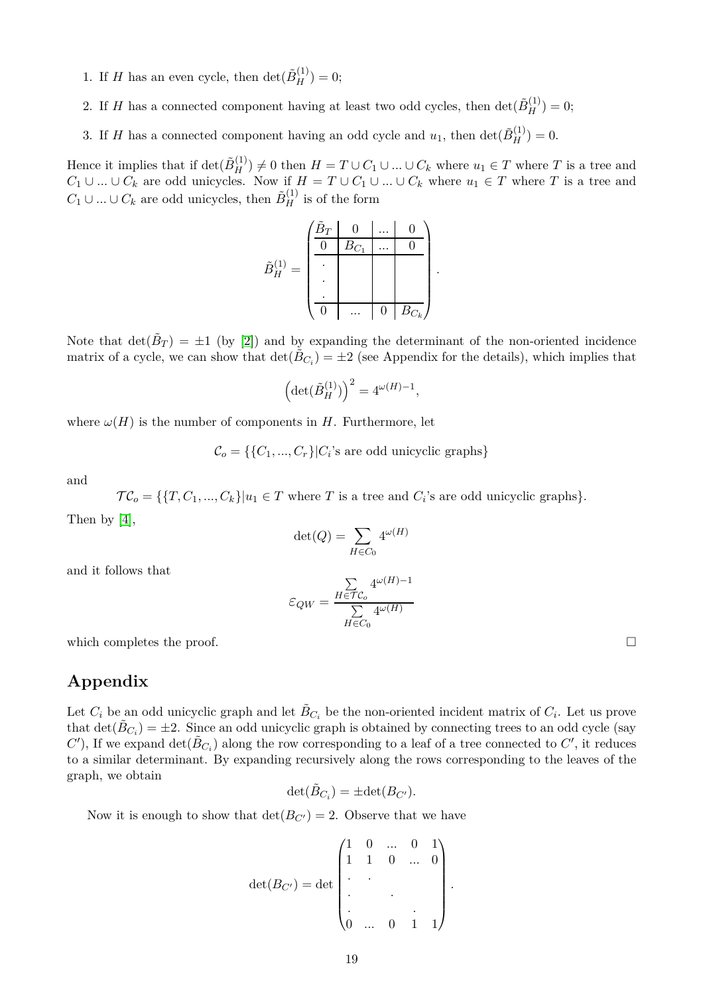- 1. If *H* has an even cycle, then  $\det(\tilde{B}_H^{(1)}) = 0$ ;
- 2. If *H* has a connected component having at least two odd cycles, then  $\det(\tilde{B}_H^{(1)}) = 0$ ;
- 3. If *H* has a connected component having an odd cycle and  $u_1$ , then  $\det(\tilde{B}_H^{(1)}) = 0$ .

Hence it implies that if  $\det(\tilde{B}_H^{(1)}) \neq 0$  then  $H = T \cup C_1 \cup ... \cup C_k$  where  $u_1 \in T$  where  $T$  is a tree and *C*<sub>1</sub> ∪ *...* ∪ *C*<sub>*k*</sub> are odd unicycles. Now if  $H = T \cup C_1 \cup ... \cup C_k$  where  $u_1 \in T$  where *T* is a tree and *C*<sup>1</sup> ∪ *...* ∪ *C*<sup>*k*</sup> are odd unicycles, then  $\tilde{B}_{H}^{(1)}$  is of the form

$$
\tilde{B}_H^{(1)} = \begin{pmatrix}\n\tilde{B}_T & 0 & \dots & 0 \\
\hline\n0 & \tilde{B}_{C_1} & \dots & 0 \\
\vdots & & & \\
\hline\n0 & \dots & 0 & \tilde{B}_{C_k}\n\end{pmatrix}.
$$

Note that  $\det(\tilde{B}_T) = \pm 1$  (by [\[2\]](#page-19-6)) and by expanding the determinant of the non-oriented incidence matrix of a cycle, we can show that  $\det(\tilde{B}_{C_i}) = \pm 2$  (see Appendix for the details), which implies that

$$
\left(\det(\tilde{B}_H^{(1)})\right)^2 = 4^{\omega(H)-1},
$$

where  $\omega(H)$  is the number of components in *H*. Furthermore, let

 $\mathcal{C}_o = \{ \{C_1, ..., C_r\} | C_i \text{'s are odd unicyclic graphs} \}$ 

and

 $\mathcal{TC}_o = \{\{T, C_1, ..., C_k\} | u_1 \in T \text{ where } T \text{ is a tree and } C_i \text{'s are odd unicyclic graphs}\}.$ Then by [\[4\]](#page-19-9),

$$
\det(Q) = \sum_{H \in C_0} 4^{\omega(H)}
$$

and it follows that

$$
\varepsilon_{QW} = \frac{\sum\limits_{H \in \mathcal{TC}_o} 4^{\omega(H)-1}}{\sum\limits_{H \in C_0} 4^{\omega(H)}}
$$

which completes the proof.  $\Box$ 

## **Appendix**

Let  $C_i$  be an odd unicyclic graph and let  $\tilde{B}_{C_i}$  be the non-oriented incident matrix of  $C_i$ . Let us prove that  $\det(\tilde{B}_{C_i}) = \pm 2$ . Since an odd unicyclic graph is obtained by connecting trees to an odd cycle (say  $C'$ ), If we expand  $\det(\tilde{B}_{C_i})$  along the row corresponding to a leaf of a tree connected to  $C'$ , it reduces to a similar determinant. By expanding recursively along the rows corresponding to the leaves of the graph, we obtain

$$
\det(\tilde{B}_{C_i}) = \pm \det(B_{C'}).
$$

Now it is enough to show that  $\det(B_{C'})=2$ . Observe that we have

$$
\det(B_{C'}) = \det \begin{pmatrix} 1 & 0 & \dots & 0 & 1 \\ 1 & 1 & 0 & \dots & 0 \\ \vdots & & & & \\ \vdots & & & & \\ 0 & \dots & 0 & 1 & 1 \end{pmatrix}.
$$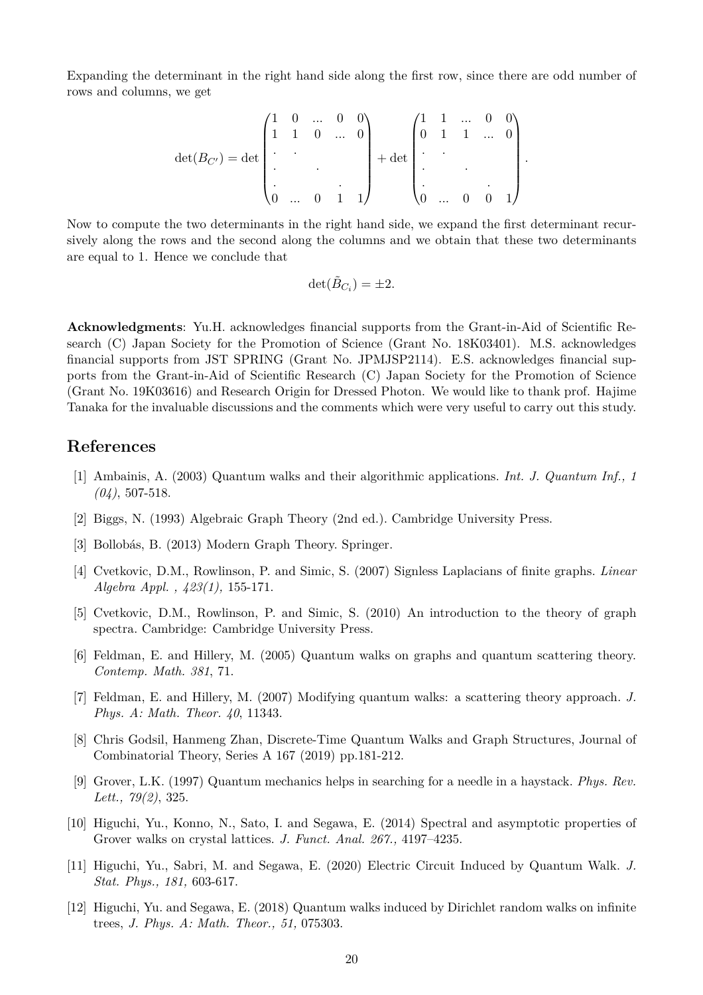Expanding the determinant in the right hand side along the first row, since there are odd number of rows and columns, we get

$$
\det(B_{C'}) = \det \begin{pmatrix} 1 & 0 & \dots & 0 & 0 \\ 1 & 1 & 0 & \dots & 0 \\ \cdot & \cdot & & & \\ \cdot & \cdot & & & \\ \cdot & \cdot & & & \\ 0 & \dots & 0 & 1 & 1 \end{pmatrix} + \det \begin{pmatrix} 1 & 1 & \dots & 0 & 0 \\ 0 & 1 & 1 & \dots & 0 \\ \cdot & \cdot & & & \\ \cdot & \cdot & & & \\ \cdot & \cdot & & & \\ 0 & \dots & 0 & 0 & 1 \end{pmatrix}.
$$

Now to compute the two determinants in the right hand side, we expand the first determinant recursively along the rows and the second along the columns and we obtain that these two determinants are equal to 1. Hence we conclude that

$$
\det(\tilde{B}_{C_i}) = \pm 2.
$$

**Acknowledgments**: Yu.H. acknowledges financial supports from the Grant-in-Aid of Scientific Research (C) Japan Society for the Promotion of Science (Grant No. 18K03401). M.S. acknowledges financial supports from JST SPRING (Grant No. JPMJSP2114). E.S. acknowledges financial supports from the Grant-in-Aid of Scientific Research (C) Japan Society for the Promotion of Science (Grant No. 19K03616) and Research Origin for Dressed Photon. We would like to thank prof. Hajime Tanaka for the invaluable discussions and the comments which were very useful to carry out this study.

### **References**

- <span id="page-19-6"></span>[1] Ambainis, A. (2003) Quantum walks and their algorithmic applications. *Int. J. Quantum Inf., 1 (04)*, 507-518.
- <span id="page-19-7"></span>[2] Biggs, N. (1993) Algebraic Graph Theory (2nd ed.). Cambridge University Press.
- <span id="page-19-9"></span>[3] Bollobás, B. (2013) Modern Graph Theory. Springer.
- [4] Cvetkovic, D.M., Rowlinson, P. and Simic, S. (2007) Signless Laplacians of finite graphs. *Linear Algebra Appl. , 423(1),* 155-171.
- <span id="page-19-8"></span><span id="page-19-3"></span>[5] Cvetkovic, D.M., Rowlinson, P. and Simic, S. (2010) An introduction to the theory of graph spectra. Cambridge: Cambridge University Press.
- <span id="page-19-4"></span>[6] Feldman, E. and Hillery, M. (2005) Quantum walks on graphs and quantum scattering theory. *Contemp. Math. 381*, 71.
- <span id="page-19-2"></span>[7] Feldman, E. and Hillery, M. (2007) Modifying quantum walks: a scattering theory approach. *J. Phys. A: Math. Theor. 40*, 11343.
- [8] Chris Godsil, Hanmeng Zhan, Discrete-Time Quantum Walks and Graph Structures, Journal of Combinatorial Theory, Series A 167 (2019) pp.181-212.
- [9] Grover, L.K. (1997) Quantum mechanics helps in searching for a needle in a haystack. *Phys. Rev. Lett., 79(2)*, 325.
- <span id="page-19-0"></span>[10] Higuchi, Yu., Konno, N., Sato, I. and Segawa, E. (2014) Spectral and asymptotic properties of Grover walks on crystal lattices. *J. Funct. Anal. 267.,* 4197–4235.
- <span id="page-19-5"></span>[11] Higuchi, Yu., Sabri, M. and Segawa, E. (2020) Electric Circuit Induced by Quantum Walk. *J. Stat. Phys., 181,* 603-617.
- <span id="page-19-1"></span>[12] Higuchi, Yu. and Segawa, E. (2018) Quantum walks induced by Dirichlet random walks on infinite trees, *J. Phys. A: Math. Theor., 51,* 075303.